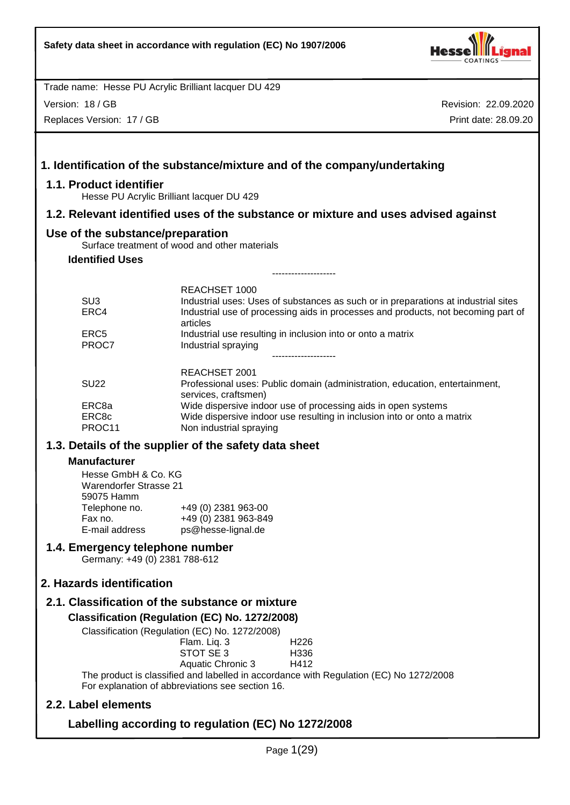

Version: 18 / GB

Replaces Version: 17 / GB

Revision: 22.09.2020 Print date: 28.09.20

|                                                                    | 1. Identification of the substance/mixture and of the company/undertaking                                                                                                                            |
|--------------------------------------------------------------------|------------------------------------------------------------------------------------------------------------------------------------------------------------------------------------------------------|
| 1.1. Product identifier                                            | Hesse PU Acrylic Brilliant lacquer DU 429                                                                                                                                                            |
|                                                                    | 1.2. Relevant identified uses of the substance or mixture and uses advised against                                                                                                                   |
| Use of the substance/preparation                                   |                                                                                                                                                                                                      |
|                                                                    | Surface treatment of wood and other materials                                                                                                                                                        |
| <b>Identified Uses</b>                                             | -----------------                                                                                                                                                                                    |
|                                                                    |                                                                                                                                                                                                      |
| SU <sub>3</sub><br>ERC4                                            | REACHSET 1000<br>Industrial uses: Uses of substances as such or in preparations at industrial sites<br>Industrial use of processing aids in processes and products, not becoming part of<br>articles |
| ERC <sub>5</sub><br>PROC7                                          | Industrial use resulting in inclusion into or onto a matrix<br>Industrial spraying<br>-------------------                                                                                            |
| <b>SU22</b>                                                        | REACHSET 2001<br>Professional uses: Public domain (administration, education, entertainment,<br>services, craftsmen)                                                                                 |
| ERC8a<br>ERC8c<br>PROC11                                           | Wide dispersive indoor use of processing aids in open systems<br>Wide dispersive indoor use resulting in inclusion into or onto a matrix<br>Non industrial spraying                                  |
|                                                                    | 1.3. Details of the supplier of the safety data sheet                                                                                                                                                |
| <b>Manufacturer</b>                                                |                                                                                                                                                                                                      |
| Hesse GmbH & Co. KG<br><b>Warendorfer Strasse 21</b><br>59075 Hamm |                                                                                                                                                                                                      |
| Fax no.<br>E-mail address                                          | Telephone no. +49 (0) 2381 963-00<br>+49 (0) 2381 963-849<br>ps@hesse-lignal.de                                                                                                                      |
| 1.4. Emergency telephone number<br>Germany: +49 (0) 2381 788-612   |                                                                                                                                                                                                      |
| 2. Hazards identification                                          |                                                                                                                                                                                                      |
|                                                                    | 2.1. Classification of the substance or mixture                                                                                                                                                      |
|                                                                    | Classification (Regulation (EC) No. 1272/2008)<br>Classification (Regulation (EC) No. 1272/2008)                                                                                                     |
|                                                                    | H <sub>226</sub><br>Flam. Liq. 3<br>STOT SE 3<br>H336<br>Aquatic Chronic 3<br>H412                                                                                                                   |
|                                                                    | The product is classified and labelled in accordance with Regulation (EC) No 1272/2008<br>For explanation of abbreviations see section 16.                                                           |
| 2.2. Label elements                                                |                                                                                                                                                                                                      |

# **Labelling according to regulation (EC) No 1272/2008**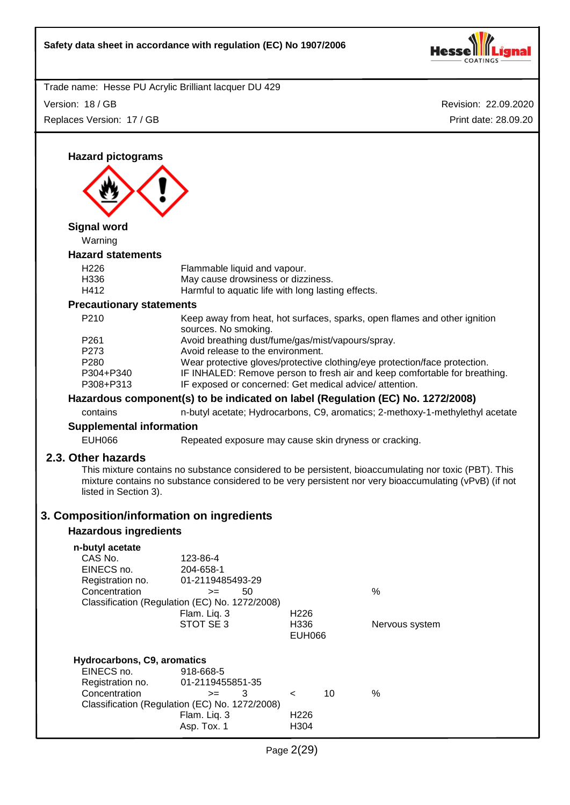

Version: 18 / GB Replaces Version: 17 / GB Revision: 22.09.2020 Print date: 28.09.20

**Hazard pictograms Signal word** Warning **Hazard statements** H226 Flammable liquid and vapour. H336 May cause drowsiness or dizziness. H412 Harmful to aquatic life with long lasting effects. **Precautionary statements** P210 Keep away from heat, hot surfaces, sparks, open flames and other ignition sources. No smoking. P261 Avoid breathing dust/fume/gas/mist/vapours/spray. P273 Avoid release to the environment. P280 Wear protective gloves/protective clothing/eye protection/face protection. P304+P340 IF INHALED: Remove person to fresh air and keep comfortable for breathing. P308+P313 IF exposed or concerned: Get medical advice/ attention. **Hazardous component(s) to be indicated on label (Regulation (EC) No. 1272/2008)** contains n-butyl acetate; Hydrocarbons, C9, aromatics; 2-methoxy-1-methylethyl acetate **Supplemental information** EUH066 Repeated exposure may cause skin dryness or cracking. **2.3. Other hazards** This mixture contains no substance considered to be persistent, bioaccumulating nor toxic (PBT). This mixture contains no substance considered to be very persistent nor very bioaccumulating (vPvB) (if not listed in Section 3). **3. Composition/information on ingredients Hazardous ingredients n-butyl acetate** CAS No. 123-86-4<br>EINECS no. 204-658-1 EINECS no. 204-658-1 Registration no. Concentration  $>=$  50 % Classification (Regulation (EC) No. 1272/2008) Flam. Liq. 3 H226 STOT SE 3 H336 Nervous system EUH066 **Hydrocarbons, C9, aromatics** EINECS no. 918-668-5 Registration no. 01-2119455851-35 Concentration >= 3 < 10 % Classification (Regulation (EC) No. 1272/2008) Flam. Liq. 3 H226 Asp. Tox. 1 H304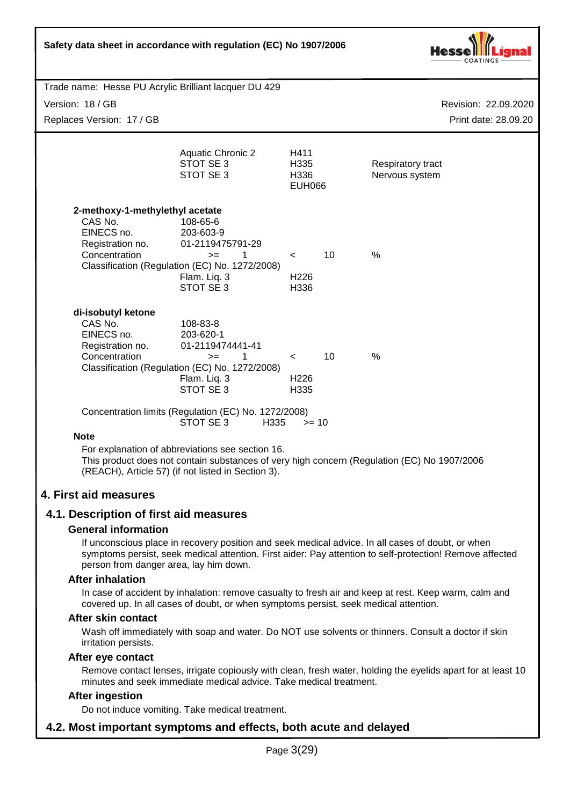

Trade name: Hesse PU Acrylic Brilliant lacquer DU 429 Version: 18 / GB Replaces Version: 17 / GB

Revision: 22.09.2020 Print date: 28.09.20

|                                             | <b>Aquatic Chronic 2</b><br>STOT SE 3<br>STOT SE 3                                          | H411<br>H335<br>H336<br><b>EUH066</b> |    | Respiratory tract<br>Nervous system |
|---------------------------------------------|---------------------------------------------------------------------------------------------|---------------------------------------|----|-------------------------------------|
| 2-methoxy-1-methylethyl acetate             |                                                                                             |                                       |    |                                     |
| CAS No.                                     | 108-65-6                                                                                    |                                       |    |                                     |
| EINECS no.                                  | 203-603-9                                                                                   |                                       |    |                                     |
| Registration no.                            | 01-2119475791-29                                                                            |                                       |    |                                     |
| Concentration                               | 1<br>$>=$                                                                                   | $\overline{\phantom{a}}$              | 10 | $\%$                                |
|                                             | Classification (Regulation (EC) No. 1272/2008)<br>Flam. Lig. 3                              | H226                                  |    |                                     |
|                                             | STOT SE3                                                                                    | H336                                  |    |                                     |
| di-isobutyl ketone<br>CAS No.<br>EINECS no. | 108-83-8<br>203-620-1                                                                       |                                       |    |                                     |
| Registration no.                            | 01-2119474441-41                                                                            |                                       |    |                                     |
| Concentration                               | 1<br>$>=$                                                                                   | $\overline{a}$                        | 10 | $\%$                                |
|                                             | Classification (Regulation (EC) No. 1272/2008)                                              |                                       |    |                                     |
|                                             | Flam. Lig. 3                                                                                | H <sub>226</sub>                      |    |                                     |
|                                             | STOT SE3                                                                                    | H335                                  |    |                                     |
|                                             | Concentration limits (Regulation (EC) No. 1272/2008)                                        |                                       |    |                                     |
|                                             | STOT SE 3<br>H <sub>335</sub>                                                               | $>= 10$                               |    |                                     |
| <b>Note</b>                                 |                                                                                             |                                       |    |                                     |
|                                             | For explanation of abbreviations see section 16.                                            |                                       |    |                                     |
|                                             | This product does not contain substances of very high concern (Regulation (EC) No 1907/2006 |                                       |    |                                     |

(REACH), Article 57) (if not listed in Section 3).

## **4. First aid measures**

#### **4.1. Description of first aid measures**

#### **General information**

If unconscious place in recovery position and seek medical advice. In all cases of doubt, or when symptoms persist, seek medical attention. First aider: Pay attention to self-protection! Remove affected person from danger area, lay him down.

#### **After inhalation**

In case of accident by inhalation: remove casualty to fresh air and keep at rest. Keep warm, calm and covered up. In all cases of doubt, or when symptoms persist, seek medical attention.

#### **After skin contact**

Wash off immediately with soap and water. Do NOT use solvents or thinners. Consult a doctor if skin irritation persists.

#### **After eye contact**

Remove contact lenses, irrigate copiously with clean, fresh water, holding the eyelids apart for at least 10 minutes and seek immediate medical advice. Take medical treatment.

#### **After ingestion**

Do not induce vomiting. Take medical treatment.

## **4.2. Most important symptoms and effects, both acute and delayed**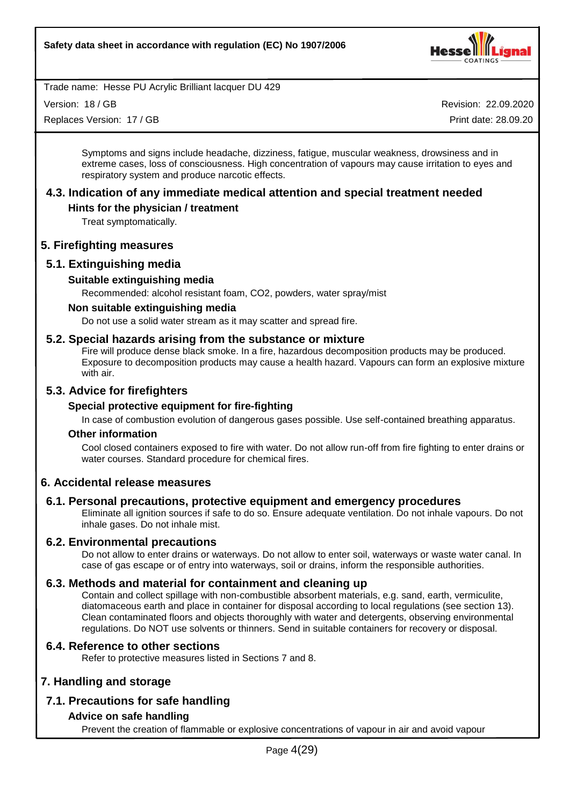

Version: 18 / GB

Replaces Version: 17 / GB

Revision: 22.09.2020

Print date: 28.09.20

Symptoms and signs include headache, dizziness, fatigue, muscular weakness, drowsiness and in extreme cases, loss of consciousness. High concentration of vapours may cause irritation to eyes and respiratory system and produce narcotic effects.

# **4.3. Indication of any immediate medical attention and special treatment needed**

#### **Hints for the physician / treatment**

Treat symptomatically.

#### **5. Firefighting measures**

## **5.1. Extinguishing media**

#### **Suitable extinguishing media**

Recommended: alcohol resistant foam, CO2, powders, water spray/mist

#### **Non suitable extinguishing media**

Do not use a solid water stream as it may scatter and spread fire.

#### **5.2. Special hazards arising from the substance or mixture**

Fire will produce dense black smoke. In a fire, hazardous decomposition products may be produced. Exposure to decomposition products may cause a health hazard. Vapours can form an explosive mixture with air.

#### **5.3. Advice for firefighters**

#### **Special protective equipment for fire-fighting**

In case of combustion evolution of dangerous gases possible. Use self-contained breathing apparatus.

#### **Other information**

Cool closed containers exposed to fire with water. Do not allow run-off from fire fighting to enter drains or water courses. Standard procedure for chemical fires.

## **6. Accidental release measures**

#### **6.1. Personal precautions, protective equipment and emergency procedures**

Eliminate all ignition sources if safe to do so. Ensure adequate ventilation. Do not inhale vapours. Do not inhale gases. Do not inhale mist.

#### **6.2. Environmental precautions**

Do not allow to enter drains or waterways. Do not allow to enter soil, waterways or waste water canal. In case of gas escape or of entry into waterways, soil or drains, inform the responsible authorities.

#### **6.3. Methods and material for containment and cleaning up**

Contain and collect spillage with non-combustible absorbent materials, e.g. sand, earth, vermiculite, diatomaceous earth and place in container for disposal according to local regulations (see section 13). Clean contaminated floors and objects thoroughly with water and detergents, observing environmental regulations. Do NOT use solvents or thinners. Send in suitable containers for recovery or disposal.

#### **6.4. Reference to other sections**

Refer to protective measures listed in Sections 7 and 8.

#### **7. Handling and storage**

## **7.1. Precautions for safe handling**

#### **Advice on safe handling**

Prevent the creation of flammable or explosive concentrations of vapour in air and avoid vapour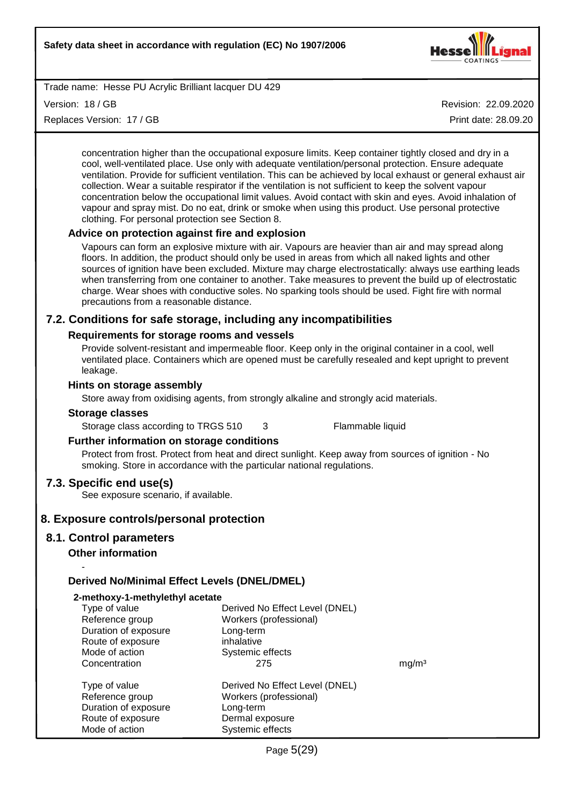

Version: 18 / GB

Replaces Version: 17 / GB

Revision: 22.09.2020

Print date: 28.09.20

concentration higher than the occupational exposure limits. Keep container tightly closed and dry in a cool, well-ventilated place. Use only with adequate ventilation/personal protection. Ensure adequate ventilation. Provide for sufficient ventilation. This can be achieved by local exhaust or general exhaust air collection. Wear a suitable respirator if the ventilation is not sufficient to keep the solvent vapour concentration below the occupational limit values. Avoid contact with skin and eyes. Avoid inhalation of vapour and spray mist. Do no eat, drink or smoke when using this product. Use personal protective clothing. For personal protection see Section 8.

#### **Advice on protection against fire and explosion**

Vapours can form an explosive mixture with air. Vapours are heavier than air and may spread along floors. In addition, the product should only be used in areas from which all naked lights and other sources of ignition have been excluded. Mixture may charge electrostatically: always use earthing leads when transferring from one container to another. Take measures to prevent the build up of electrostatic charge. Wear shoes with conductive soles. No sparking tools should be used. Fight fire with normal precautions from a reasonable distance.

#### **7.2. Conditions for safe storage, including any incompatibilities**

#### **Requirements for storage rooms and vessels**

Provide solvent-resistant and impermeable floor. Keep only in the original container in a cool, well ventilated place. Containers which are opened must be carefully resealed and kept upright to prevent leakage.

#### **Hints on storage assembly**

Store away from oxidising agents, from strongly alkaline and strongly acid materials.

#### **Storage classes**

Storage class according to TRGS 510 3 Flammable liquid

#### **Further information on storage conditions**

Protect from frost. Protect from heat and direct sunlight. Keep away from sources of ignition - No smoking. Store in accordance with the particular national regulations.

#### **7.3. Specific end use(s)**

See exposure scenario, if available.

#### **8. Exposure controls/personal protection**

#### **8.1. Control parameters**

-

#### **Other information**

#### **Derived No/Minimal Effect Levels (DNEL/DMEL)**

| 2-methoxy-1-methylethyl acetate                                                                 |                                                                                                              |                   |
|-------------------------------------------------------------------------------------------------|--------------------------------------------------------------------------------------------------------------|-------------------|
| Type of value<br>Reference group<br>Duration of exposure                                        | Derived No Effect Level (DNEL)<br>Workers (professional)<br>Long-term                                        |                   |
| Route of exposure<br>Mode of action                                                             | inhalative<br>Systemic effects                                                                               |                   |
| Concentration                                                                                   | 275                                                                                                          | mg/m <sup>3</sup> |
| Type of value<br>Reference group<br>Duration of exposure<br>Route of exposure<br>Mode of action | Derived No Effect Level (DNEL)<br>Workers (professional)<br>Long-term<br>Dermal exposure<br>Systemic effects |                   |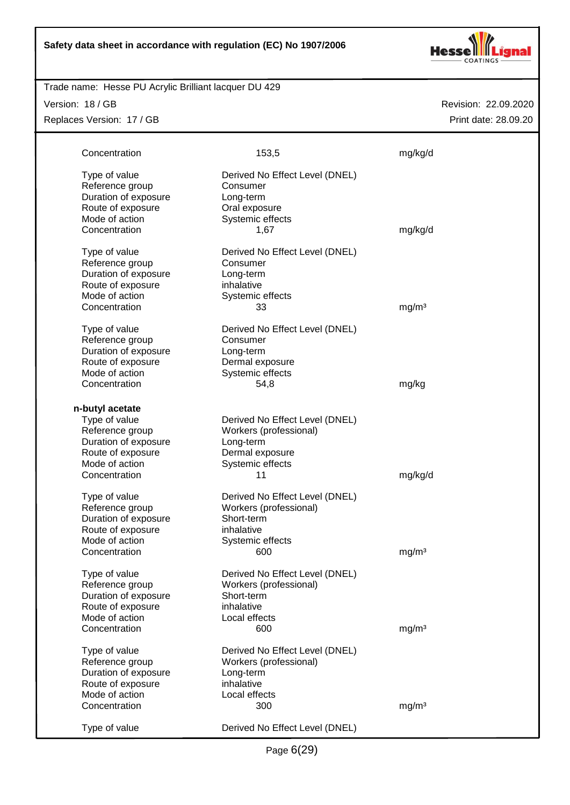

# Trade name: Hesse PU Acrylic Brilliant lacquer DU 429

Version: 18 / GB Replaces Version: 17 / GB

| Concentration                                                                                                                       | 153,5                                                                                                              | mg/kg/d           |
|-------------------------------------------------------------------------------------------------------------------------------------|--------------------------------------------------------------------------------------------------------------------|-------------------|
| Type of value<br>Reference group<br>Duration of exposure<br>Route of exposure<br>Mode of action<br>Concentration                    | Derived No Effect Level (DNEL)<br>Consumer<br>Long-term<br>Oral exposure<br>Systemic effects<br>1,67               | mg/kg/d           |
| Type of value<br>Reference group<br>Duration of exposure<br>Route of exposure<br>Mode of action<br>Concentration                    | Derived No Effect Level (DNEL)<br>Consumer<br>Long-term<br>inhalative<br>Systemic effects<br>33                    | mg/m <sup>3</sup> |
| Type of value<br>Reference group<br>Duration of exposure<br>Route of exposure<br>Mode of action<br>Concentration                    | Derived No Effect Level (DNEL)<br>Consumer<br>Long-term<br>Dermal exposure<br>Systemic effects<br>54,8             | mg/kg             |
| n-butyl acetate<br>Type of value<br>Reference group<br>Duration of exposure<br>Route of exposure<br>Mode of action<br>Concentration | Derived No Effect Level (DNEL)<br>Workers (professional)<br>Long-term<br>Dermal exposure<br>Systemic effects<br>11 | mg/kg/d           |
| Type of value<br>Reference group<br>Duration of exposure<br>Route of exposure<br>Mode of action<br>Concentration                    | Derived No Effect Level (DNEL)<br>Workers (professional)<br>Short-term<br>inhalative<br>Systemic effects<br>600    | mg/m <sup>3</sup> |
| Type of value<br>Reference group<br>Duration of exposure<br>Route of exposure<br>Mode of action<br>Concentration                    | Derived No Effect Level (DNEL)<br>Workers (professional)<br>Short-term<br>inhalative<br>Local effects<br>600       | mg/m <sup>3</sup> |
| Type of value<br>Reference group<br>Duration of exposure<br>Route of exposure<br>Mode of action<br>Concentration                    | Derived No Effect Level (DNEL)<br>Workers (professional)<br>Long-term<br>inhalative<br>Local effects<br>300        | mg/m <sup>3</sup> |
| Type of value                                                                                                                       | Derived No Effect Level (DNEL)                                                                                     |                   |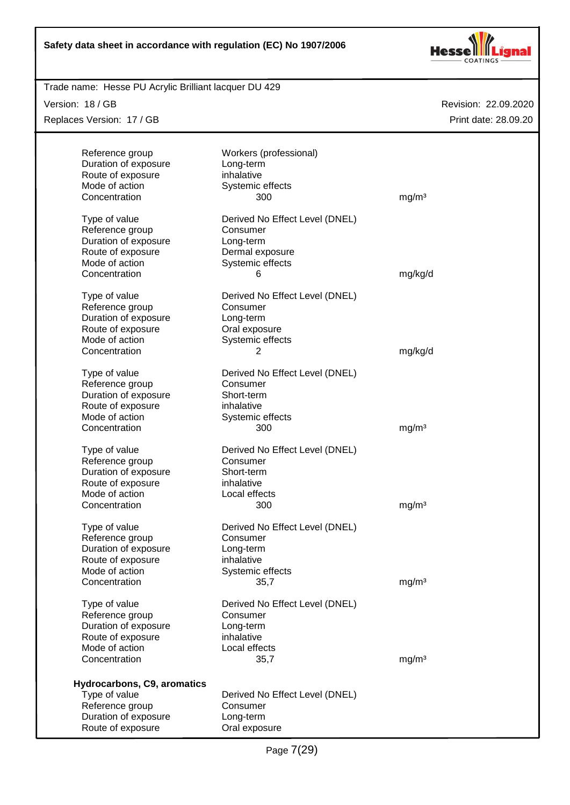

Trade name: Hesse PU Acrylic Brilliant lacquer DU 429

Version: 18 / GB

Replaces Version: 17 / GB

| Reference group<br>Duration of exposure<br>Route of exposure | Workers (professional)<br>Long-term<br>inhalative |                   |
|--------------------------------------------------------------|---------------------------------------------------|-------------------|
| Mode of action<br>Concentration                              | Systemic effects<br>300                           | mg/m <sup>3</sup> |
| Type of value                                                | Derived No Effect Level (DNEL)                    |                   |
| Reference group                                              | Consumer                                          |                   |
| Duration of exposure                                         | Long-term                                         |                   |
| Route of exposure                                            | Dermal exposure                                   |                   |
| Mode of action                                               | Systemic effects                                  |                   |
| Concentration                                                | 6                                                 | mg/kg/d           |
| Type of value                                                | Derived No Effect Level (DNEL)                    |                   |
| Reference group                                              | Consumer                                          |                   |
| Duration of exposure                                         | Long-term                                         |                   |
| Route of exposure                                            | Oral exposure                                     |                   |
| Mode of action                                               | Systemic effects                                  |                   |
| Concentration                                                | 2                                                 | mg/kg/d           |
| Type of value                                                | Derived No Effect Level (DNEL)                    |                   |
| Reference group                                              | Consumer                                          |                   |
| Duration of exposure                                         | Short-term                                        |                   |
| Route of exposure                                            | inhalative                                        |                   |
| Mode of action                                               | Systemic effects                                  |                   |
| Concentration                                                | 300                                               | mg/m <sup>3</sup> |
| Type of value                                                | Derived No Effect Level (DNEL)                    |                   |
| Reference group                                              | Consumer                                          |                   |
| Duration of exposure                                         | Short-term                                        |                   |
| Route of exposure                                            | inhalative                                        |                   |
| Mode of action                                               | Local effects                                     |                   |
| Concentration                                                | 300                                               | mg/m <sup>3</sup> |
| Type of value                                                | Derived No Effect Level (DNEL)                    |                   |
| Reference group                                              | Consumer                                          |                   |
| Duration of exposure                                         | Long-term                                         |                   |
| Route of exposure                                            | inhalative                                        |                   |
| Mode of action                                               | Systemic effects                                  |                   |
| Concentration                                                | 35,7                                              | mg/m <sup>3</sup> |
| Type of value                                                | Derived No Effect Level (DNEL)                    |                   |
| Reference group                                              | Consumer                                          |                   |
| Duration of exposure                                         | Long-term                                         |                   |
| Route of exposure                                            | inhalative                                        |                   |
| Mode of action                                               | Local effects                                     |                   |
| Concentration                                                | 35,7                                              | mg/m <sup>3</sup> |
| Hydrocarbons, C9, aromatics                                  |                                                   |                   |
| Type of value                                                | Derived No Effect Level (DNEL)                    |                   |
| Reference group                                              | Consumer                                          |                   |
| Duration of exposure                                         | Long-term                                         |                   |
| Route of exposure                                            | Oral exposure                                     |                   |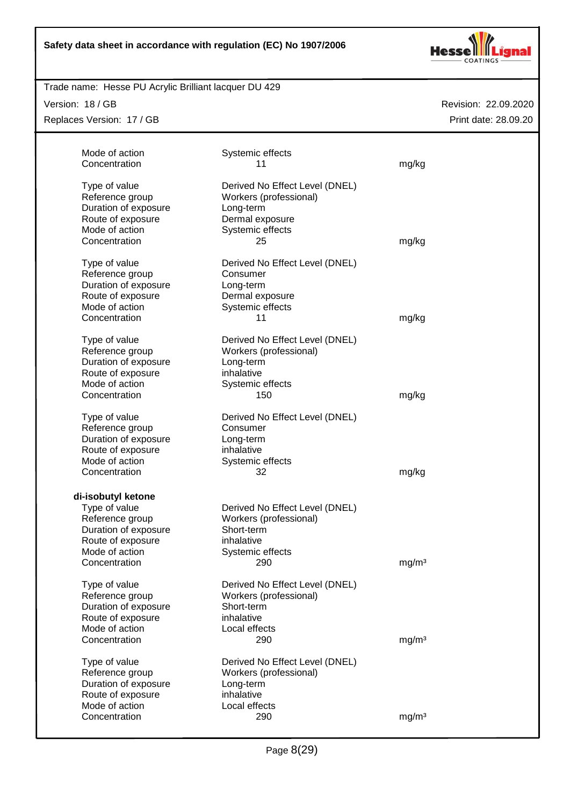

# Trade name: Hesse PU Acrylic Brilliant lacquer DU 429

Version: 18 / GB

Replaces Version: 17 / GB

| Mode of action                      | Systemic effects               |                   |
|-------------------------------------|--------------------------------|-------------------|
| Concentration                       | 11                             | mg/kg             |
|                                     |                                |                   |
| Type of value                       | Derived No Effect Level (DNEL) |                   |
| Reference group                     | Workers (professional)         |                   |
| Duration of exposure                | Long-term                      |                   |
| Route of exposure                   | Dermal exposure                |                   |
| Mode of action                      | Systemic effects               |                   |
| Concentration                       | 25                             | mg/kg             |
|                                     |                                |                   |
| Type of value                       | Derived No Effect Level (DNEL) |                   |
| Reference group                     | Consumer                       |                   |
| Duration of exposure                | Long-term                      |                   |
| Route of exposure                   | Dermal exposure                |                   |
| Mode of action                      | Systemic effects               |                   |
| Concentration                       | 11                             | mg/kg             |
|                                     |                                |                   |
| Type of value                       | Derived No Effect Level (DNEL) |                   |
| Reference group                     | Workers (professional)         |                   |
| Duration of exposure                | Long-term                      |                   |
| Route of exposure                   | inhalative                     |                   |
| Mode of action                      | Systemic effects               |                   |
| Concentration                       | 150                            | mg/kg             |
|                                     |                                |                   |
| Type of value                       | Derived No Effect Level (DNEL) |                   |
| Reference group                     | Consumer                       |                   |
| Duration of exposure                | Long-term                      |                   |
| Route of exposure                   | inhalative                     |                   |
| Mode of action                      | Systemic effects               |                   |
| Concentration                       | 32                             | mg/kg             |
|                                     |                                |                   |
| di-isobutyl ketone                  |                                |                   |
| Type of value                       | Derived No Effect Level (DNEL) |                   |
| Reference group                     | Workers (professional)         |                   |
| Duration of exposure                | Short-term                     |                   |
| Route of exposure                   | inhalative                     |                   |
| Mode of action                      | Systemic effects               |                   |
| Concentration                       | 290                            | mg/m <sup>3</sup> |
|                                     |                                |                   |
| Type of value                       | Derived No Effect Level (DNEL) |                   |
| Reference group                     | Workers (professional)         |                   |
| Duration of exposure                | Short-term                     |                   |
| Route of exposure                   | inhalative                     |                   |
| Mode of action                      | Local effects                  |                   |
| Concentration                       | 290                            | mg/m <sup>3</sup> |
| Type of value                       | Derived No Effect Level (DNEL) |                   |
| Reference group                     | Workers (professional)         |                   |
| Duration of exposure                |                                |                   |
|                                     | Long-term<br>inhalative        |                   |
| Route of exposure<br>Mode of action |                                |                   |
| Concentration                       | Local effects<br>290           |                   |
|                                     |                                | mg/m <sup>3</sup> |
|                                     |                                |                   |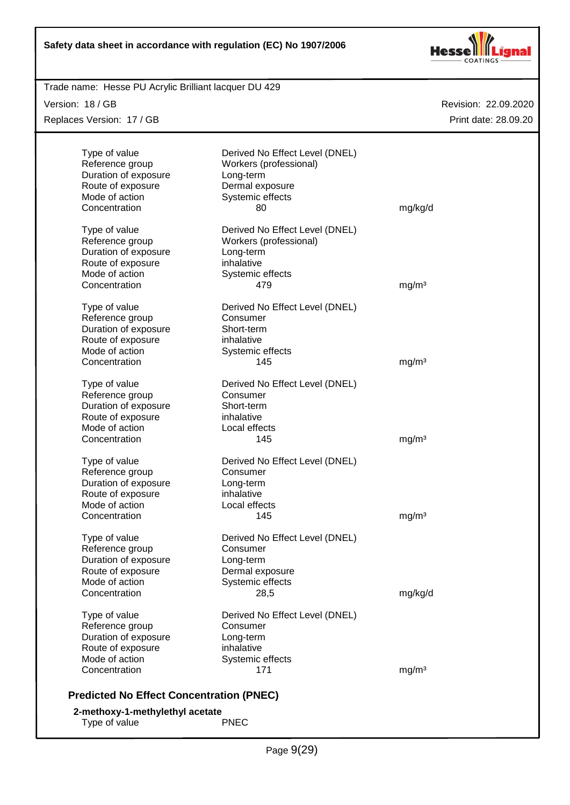

Trade name: Hesse PU Acrylic Brilliant lacquer DU 429

Version: 18 / GB Replaces Version: 17 / GB

| Type of value<br>Reference group<br>Duration of exposure | Derived No Effect Level (DNEL)<br>Workers (professional)<br>Long-term |                   |
|----------------------------------------------------------|-----------------------------------------------------------------------|-------------------|
| Route of exposure                                        | Dermal exposure                                                       |                   |
| Mode of action                                           | Systemic effects                                                      |                   |
| Concentration                                            | 80                                                                    | mg/kg/d           |
| Type of value                                            | Derived No Effect Level (DNEL)                                        |                   |
| Reference group                                          | Workers (professional)                                                |                   |
| Duration of exposure                                     | Long-term                                                             |                   |
| Route of exposure                                        | inhalative                                                            |                   |
| Mode of action                                           | Systemic effects                                                      |                   |
| Concentration                                            | 479                                                                   | mg/m <sup>3</sup> |
| Type of value                                            | Derived No Effect Level (DNEL)                                        |                   |
| Reference group                                          | Consumer                                                              |                   |
| Duration of exposure                                     | Short-term                                                            |                   |
| Route of exposure                                        | inhalative                                                            |                   |
| Mode of action                                           | Systemic effects                                                      |                   |
| Concentration                                            | 145                                                                   | mg/m <sup>3</sup> |
| Type of value                                            | Derived No Effect Level (DNEL)                                        |                   |
| Reference group                                          | Consumer                                                              |                   |
| Duration of exposure                                     | Short-term                                                            |                   |
| Route of exposure                                        | inhalative                                                            |                   |
| Mode of action                                           | Local effects                                                         |                   |
| Concentration                                            | 145                                                                   | mg/m <sup>3</sup> |
| Type of value                                            | Derived No Effect Level (DNEL)                                        |                   |
| Reference group                                          | Consumer                                                              |                   |
| Duration of exposure                                     | Long-term                                                             |                   |
| Route of exposure                                        | inhalative                                                            |                   |
| Mode of action                                           | Local effects                                                         |                   |
| Concentration                                            | 145                                                                   | mg/m <sup>3</sup> |
| Type of value                                            | Derived No Effect Level (DNEL)                                        |                   |
| Reference group                                          | Consumer                                                              |                   |
| Duration of exposure                                     | Long-term                                                             |                   |
| Route of exposure                                        | Dermal exposure                                                       |                   |
| Mode of action                                           | Systemic effects                                                      |                   |
| Concentration                                            | 28,5                                                                  | mg/kg/d           |
| Type of value                                            | Derived No Effect Level (DNEL)                                        |                   |
| Reference group                                          | Consumer                                                              |                   |
| Duration of exposure                                     | Long-term                                                             |                   |
| Route of exposure                                        | inhalative                                                            |                   |
| Mode of action                                           | Systemic effects                                                      |                   |
| Concentration                                            | 171                                                                   | mg/m <sup>3</sup> |
| <b>Predicted No Effect Concentration (PNEC)</b>          |                                                                       |                   |
| 2-methoxy-1-methylethyl acetate                          |                                                                       |                   |
| Type of value                                            | <b>PNEC</b>                                                           |                   |
|                                                          |                                                                       |                   |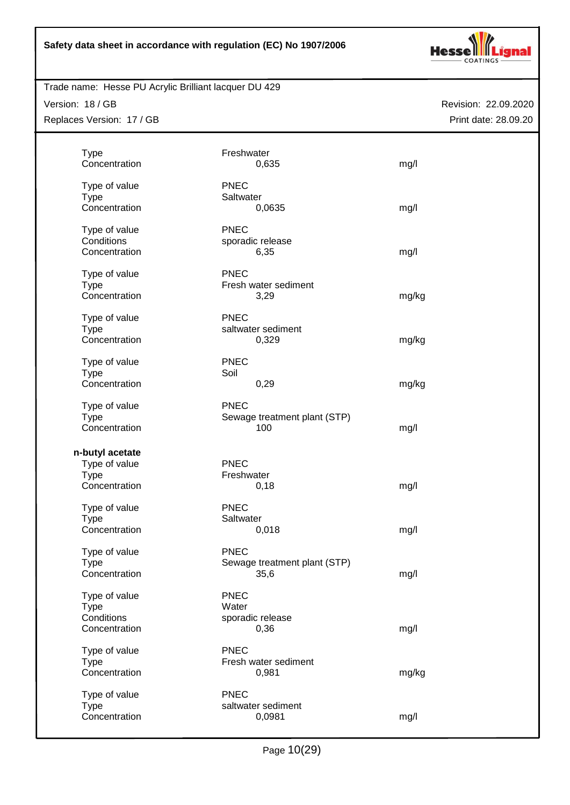

# Trade name: Hesse PU Acrylic Brilliant lacquer DU 429

Version: 18 / GB Replaces Version: 17 / GB

| <b>Type</b><br>Concentration | Freshwater<br>0,635               | mg/l  |
|------------------------------|-----------------------------------|-------|
|                              |                                   |       |
| Type of value                | <b>PNEC</b>                       |       |
| <b>Type</b>                  | Saltwater                         |       |
| Concentration                | 0,0635                            | mg/l  |
|                              |                                   |       |
| Type of value                | <b>PNEC</b>                       |       |
| Conditions                   | sporadic release                  |       |
| Concentration                | 6,35                              | mg/l  |
| Type of value                | <b>PNEC</b>                       |       |
| <b>Type</b>                  | Fresh water sediment              |       |
| Concentration                | 3,29                              | mg/kg |
|                              |                                   |       |
| Type of value                | <b>PNEC</b>                       |       |
| <b>Type</b>                  | saltwater sediment                |       |
| Concentration                | 0,329                             | mg/kg |
|                              |                                   |       |
| Type of value                | <b>PNEC</b>                       |       |
| <b>Type</b>                  | Soil                              |       |
| Concentration                | 0,29                              | mg/kg |
| Type of value                | <b>PNEC</b>                       |       |
| <b>Type</b>                  | Sewage treatment plant (STP)      |       |
| Concentration                | 100                               | mg/l  |
|                              |                                   |       |
| n-butyl acetate              |                                   |       |
| Type of value                | <b>PNEC</b>                       |       |
| <b>Type</b>                  | Freshwater                        |       |
| Concentration                | 0,18                              | mg/l  |
|                              | <b>PNEC</b>                       |       |
| Type of value<br><b>Type</b> | Saltwater                         |       |
| Concentration                | 0,018                             | mg/l  |
|                              |                                   |       |
| Type of value                | <b>PNEC</b>                       |       |
| Type                         | Sewage treatment plant (STP)      |       |
| Concentration                | 35,6                              | mg/l  |
|                              |                                   |       |
| Type of value                | <b>PNEC</b>                       |       |
| <b>Type</b><br>Conditions    | Water<br>sporadic release         |       |
| Concentration                | 0,36                              | mg/l  |
|                              |                                   |       |
| Type of value                | <b>PNEC</b>                       |       |
| <b>Type</b>                  | Fresh water sediment              |       |
| Concentration                | 0,981                             | mg/kg |
|                              |                                   |       |
| Type of value<br><b>Type</b> | <b>PNEC</b><br>saltwater sediment |       |
| Concentration                | 0,0981                            | mg/l  |
|                              |                                   |       |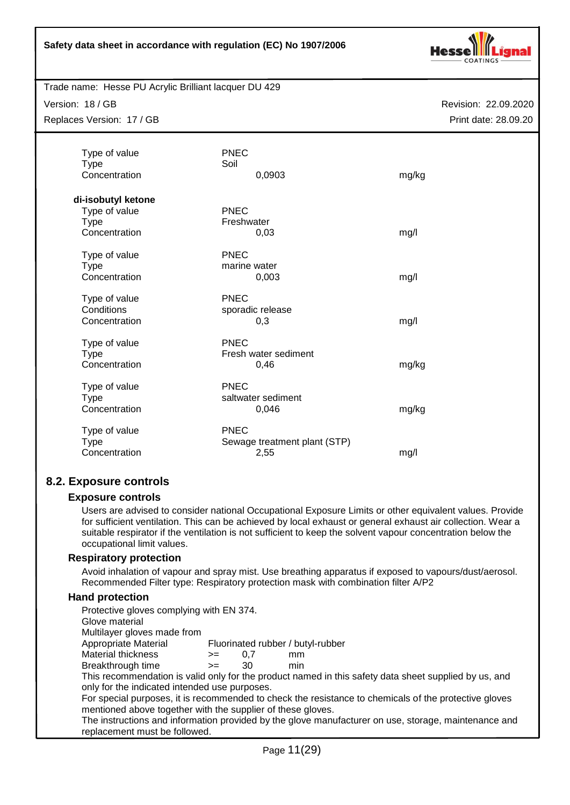

Trade name: Hesse PU Acrylic Brilliant lacquer DU 429

Version: 18 / GB

Replaces Version: 17 / GB

Revision: 22.09.2020 Print date: 28.09.20

| Type of value<br><b>Type</b><br>Concentration      | <b>PNEC</b><br>Soil<br>0,0903                | mg/kg |
|----------------------------------------------------|----------------------------------------------|-------|
| di-isobutyl ketone<br>Type of value<br><b>Type</b> | <b>PNEC</b><br>Freshwater                    |       |
| Concentration                                      | 0,03                                         | mg/l  |
| Type of value<br><b>Type</b><br>Concentration      | <b>PNEC</b><br>marine water<br>0,003         | mg/l  |
| Type of value<br>Conditions<br>Concentration       | <b>PNEC</b><br>sporadic release<br>0,3       | mg/l  |
| Type of value<br><b>Type</b><br>Concentration      | <b>PNEC</b><br>Fresh water sediment<br>0,46  | mg/kg |
| Type of value<br><b>Type</b><br>Concentration      | <b>PNEC</b><br>saltwater sediment<br>0,046   | mg/kg |
| Type of value<br><b>Type</b><br>Concentration      | PNEC<br>Sewage treatment plant (STP)<br>2,55 | mg/l  |

# **8.2. Exposure controls**

#### **Exposure controls**

Users are advised to consider national Occupational Exposure Limits or other equivalent values. Provide for sufficient ventilation. This can be achieved by local exhaust or general exhaust air collection. Wear a suitable respirator if the ventilation is not sufficient to keep the solvent vapour concentration below the occupational limit values.

#### **Respiratory protection**

Avoid inhalation of vapour and spray mist. Use breathing apparatus if exposed to vapours/dust/aerosol. Recommended Filter type: Respiratory protection mask with combination filter A/P2

#### **Hand protection**

| Protective gloves complying with EN 374.                    |      |     |                                   |                                                                                                       |
|-------------------------------------------------------------|------|-----|-----------------------------------|-------------------------------------------------------------------------------------------------------|
| Glove material                                              |      |     |                                   |                                                                                                       |
| Multilayer gloves made from                                 |      |     |                                   |                                                                                                       |
| Appropriate Material                                        |      |     | Fluorinated rubber / butyl-rubber |                                                                                                       |
| Material thickness                                          | $>=$ | 0.7 | mm                                |                                                                                                       |
| Breakthrough time                                           | $>=$ | 30  | min                               |                                                                                                       |
|                                                             |      |     |                                   | This recommendation is valid only for the product named in this safety data sheet supplied by us, and |
| only for the indicated intended use purposes.               |      |     |                                   |                                                                                                       |
|                                                             |      |     |                                   | For special purposes, it is recommended to check the resistance to chemicals of the protective gloves |
| mentioned above together with the supplier of these gloves. |      |     |                                   |                                                                                                       |
|                                                             |      |     |                                   | The instructions and information provided by the glove manufacturer on use, storage, maintenance and  |
| replacement must be followed.                               |      |     |                                   |                                                                                                       |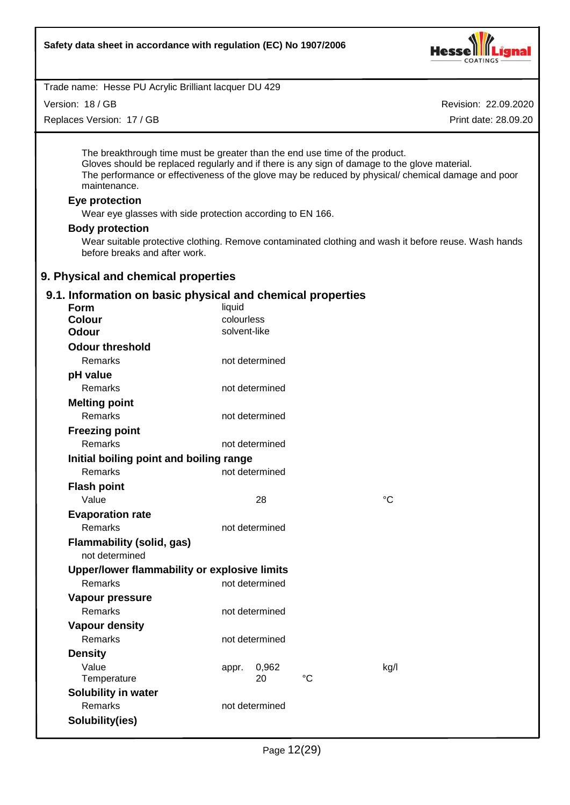

Version: 18 / GB

Replaces Version: 17 / GB

Revision: 22.09.2020 Print date: 28.09.20

The breakthrough time must be greater than the end use time of the product. Gloves should be replaced regularly and if there is any sign of damage to the glove material. The performance or effectiveness of the glove may be reduced by physical/ chemical damage and poor maintenance.

#### **Eye protection**

Wear eye glasses with side protection according to EN 166.

#### **Body protection**

Wear suitable protective clothing. Remove contaminated clothing and wash it before reuse. Wash hands before breaks and after work.

#### **9. Physical and chemical properties**

#### **9.1. Information on basic physical and chemical properties**

| Form                                         | liquid         |    |             |
|----------------------------------------------|----------------|----|-------------|
| <b>Colour</b>                                | colourless     |    |             |
| <b>Odour</b>                                 | solvent-like   |    |             |
| <b>Odour threshold</b>                       |                |    |             |
| Remarks                                      | not determined |    |             |
| pH value                                     |                |    |             |
| Remarks                                      | not determined |    |             |
| <b>Melting point</b>                         |                |    |             |
| <b>Remarks</b>                               | not determined |    |             |
| <b>Freezing point</b>                        |                |    |             |
| Remarks                                      | not determined |    |             |
| Initial boiling point and boiling range      |                |    |             |
| Remarks                                      | not determined |    |             |
| <b>Flash point</b>                           |                |    |             |
| Value                                        | 28             |    | $^{\circ}C$ |
| <b>Evaporation rate</b>                      |                |    |             |
| Remarks                                      | not determined |    |             |
| <b>Flammability (solid, gas)</b>             |                |    |             |
| not determined                               |                |    |             |
| Upper/lower flammability or explosive limits |                |    |             |
| Remarks                                      | not determined |    |             |
| Vapour pressure                              |                |    |             |
| Remarks                                      | not determined |    |             |
| <b>Vapour density</b>                        |                |    |             |
| Remarks                                      | not determined |    |             |
| <b>Density</b>                               |                |    |             |
| Value                                        | 0,962<br>appr. |    | kg/l        |
| Temperature                                  | 20             | °C |             |
| <b>Solubility in water</b>                   |                |    |             |
| Remarks                                      | not determined |    |             |
| Solubility(ies)                              |                |    |             |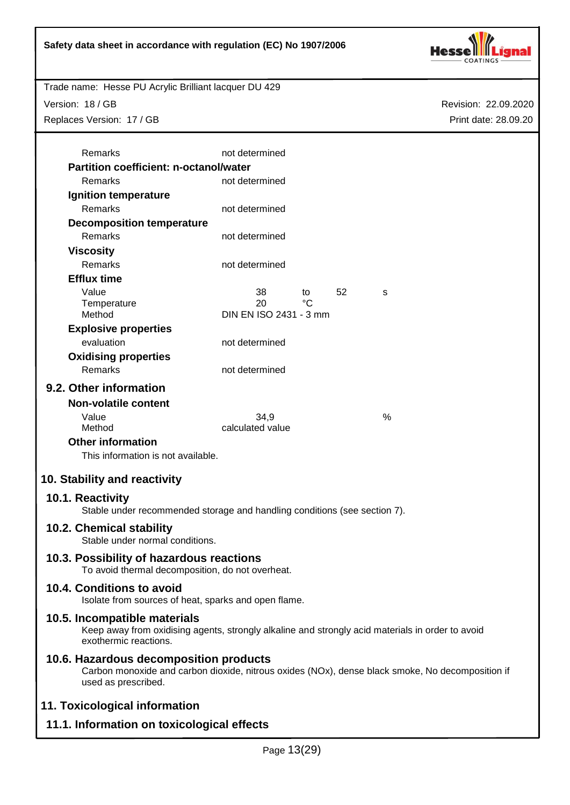

Version: 18 / GB

Replaces Version: 17 / GB

Revision: 22.09.2020 Print date: 28.09.20

| Remarks                                                                                          | not determined               |    |    |                                                                                                  |
|--------------------------------------------------------------------------------------------------|------------------------------|----|----|--------------------------------------------------------------------------------------------------|
| <b>Partition coefficient: n-octanol/water</b>                                                    |                              |    |    |                                                                                                  |
| Remarks                                                                                          | not determined               |    |    |                                                                                                  |
| <b>Ignition temperature</b>                                                                      |                              |    |    |                                                                                                  |
| <b>Remarks</b>                                                                                   | not determined               |    |    |                                                                                                  |
| <b>Decomposition temperature</b>                                                                 |                              |    |    |                                                                                                  |
| Remarks                                                                                          | not determined               |    |    |                                                                                                  |
| <b>Viscosity</b>                                                                                 |                              |    |    |                                                                                                  |
| <b>Remarks</b>                                                                                   | not determined               |    |    |                                                                                                  |
| <b>Efflux time</b>                                                                               |                              |    |    |                                                                                                  |
| Value                                                                                            | 38                           | to | 52 | s                                                                                                |
| Temperature<br>Method                                                                            | 20<br>DIN EN ISO 2431 - 3 mm | °C |    |                                                                                                  |
| <b>Explosive properties</b>                                                                      |                              |    |    |                                                                                                  |
| evaluation                                                                                       | not determined               |    |    |                                                                                                  |
| <b>Oxidising properties</b>                                                                      |                              |    |    |                                                                                                  |
| Remarks                                                                                          | not determined               |    |    |                                                                                                  |
|                                                                                                  |                              |    |    |                                                                                                  |
| 9.2. Other information                                                                           |                              |    |    |                                                                                                  |
| <b>Non-volatile content</b>                                                                      |                              |    |    |                                                                                                  |
| Value<br>Method                                                                                  | 34,9<br>calculated value     |    |    | %                                                                                                |
| <b>Other information</b>                                                                         |                              |    |    |                                                                                                  |
| This information is not available.                                                               |                              |    |    |                                                                                                  |
|                                                                                                  |                              |    |    |                                                                                                  |
| 10. Stability and reactivity                                                                     |                              |    |    |                                                                                                  |
| 10.1. Reactivity                                                                                 |                              |    |    |                                                                                                  |
| Stable under recommended storage and handling conditions (see section 7).                        |                              |    |    |                                                                                                  |
| 10.2. Chemical stability                                                                         |                              |    |    |                                                                                                  |
| Stable under normal conditions.                                                                  |                              |    |    |                                                                                                  |
| 10.3. Possibility of hazardous reactions                                                         |                              |    |    |                                                                                                  |
| To avoid thermal decomposition, do not overheat.                                                 |                              |    |    |                                                                                                  |
| 10.4. Conditions to avoid                                                                        |                              |    |    |                                                                                                  |
| Isolate from sources of heat, sparks and open flame.                                             |                              |    |    |                                                                                                  |
| 10.5. Incompatible materials                                                                     |                              |    |    |                                                                                                  |
| Keep away from oxidising agents, strongly alkaline and strongly acid materials in order to avoid |                              |    |    |                                                                                                  |
| exothermic reactions.                                                                            |                              |    |    |                                                                                                  |
| 10.6. Hazardous decomposition products                                                           |                              |    |    |                                                                                                  |
|                                                                                                  |                              |    |    | Carbon monoxide and carbon dioxide, nitrous oxides (NOx), dense black smoke, No decomposition if |
| used as prescribed.                                                                              |                              |    |    |                                                                                                  |
|                                                                                                  |                              |    |    |                                                                                                  |

# **11. Toxicological information**

# **11.1. Information on toxicological effects**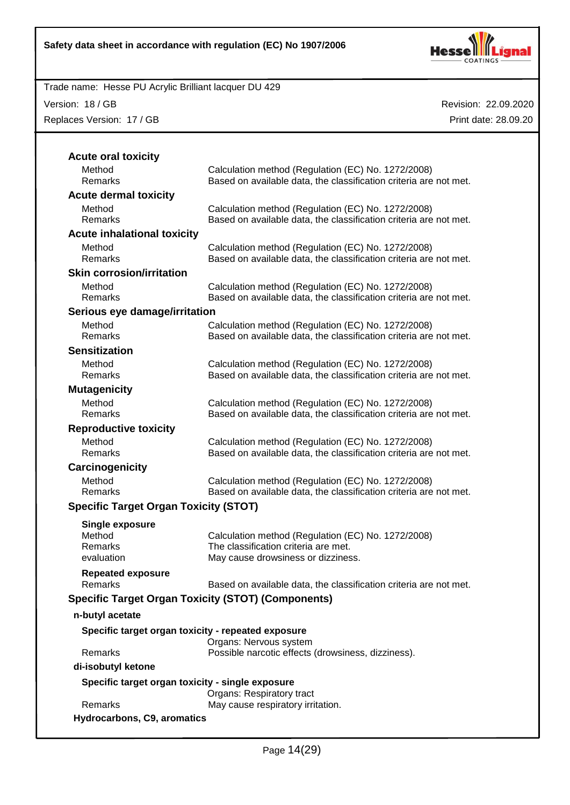

Version: 18 / GB

Replaces Version: 17 / GB

| <b>Acute oral toxicity</b>                                |                                                                                                                                  |
|-----------------------------------------------------------|----------------------------------------------------------------------------------------------------------------------------------|
| Method<br>Remarks                                         | Calculation method (Regulation (EC) No. 1272/2008)<br>Based on available data, the classification criteria are not met.          |
| <b>Acute dermal toxicity</b>                              |                                                                                                                                  |
| Method<br>Remarks                                         | Calculation method (Regulation (EC) No. 1272/2008)<br>Based on available data, the classification criteria are not met.          |
| <b>Acute inhalational toxicity</b>                        |                                                                                                                                  |
| Method<br>Remarks                                         | Calculation method (Regulation (EC) No. 1272/2008)<br>Based on available data, the classification criteria are not met.          |
| <b>Skin corrosion/irritation</b>                          |                                                                                                                                  |
| Method<br>Remarks                                         | Calculation method (Regulation (EC) No. 1272/2008)<br>Based on available data, the classification criteria are not met.          |
| Serious eye damage/irritation                             |                                                                                                                                  |
| Method<br><b>Remarks</b>                                  | Calculation method (Regulation (EC) No. 1272/2008)<br>Based on available data, the classification criteria are not met.          |
| <b>Sensitization</b>                                      |                                                                                                                                  |
| Method<br>Remarks                                         | Calculation method (Regulation (EC) No. 1272/2008)<br>Based on available data, the classification criteria are not met.          |
| <b>Mutagenicity</b>                                       |                                                                                                                                  |
| Method<br>Remarks                                         | Calculation method (Regulation (EC) No. 1272/2008)<br>Based on available data, the classification criteria are not met.          |
| <b>Reproductive toxicity</b>                              |                                                                                                                                  |
| Method<br>Remarks                                         | Calculation method (Regulation (EC) No. 1272/2008)<br>Based on available data, the classification criteria are not met.          |
| Carcinogenicity                                           |                                                                                                                                  |
| Method<br><b>Remarks</b>                                  | Calculation method (Regulation (EC) No. 1272/2008)<br>Based on available data, the classification criteria are not met.          |
| <b>Specific Target Organ Toxicity (STOT)</b>              |                                                                                                                                  |
| Single exposure                                           |                                                                                                                                  |
| Method<br>Remarks<br>evaluation                           | Calculation method (Regulation (EC) No. 1272/2008)<br>The classification criteria are met.<br>May cause drowsiness or dizziness. |
| <b>Repeated exposure</b>                                  |                                                                                                                                  |
| Remarks                                                   | Based on available data, the classification criteria are not met.                                                                |
| <b>Specific Target Organ Toxicity (STOT) (Components)</b> |                                                                                                                                  |
| n-butyl acetate                                           |                                                                                                                                  |
| Specific target organ toxicity - repeated exposure        | Organs: Nervous system                                                                                                           |
| Remarks                                                   | Possible narcotic effects (drowsiness, dizziness).                                                                               |
| di-isobutyl ketone                                        |                                                                                                                                  |
| Specific target organ toxicity - single exposure          | <b>Organs: Respiratory tract</b>                                                                                                 |
| Remarks                                                   | May cause respiratory irritation.                                                                                                |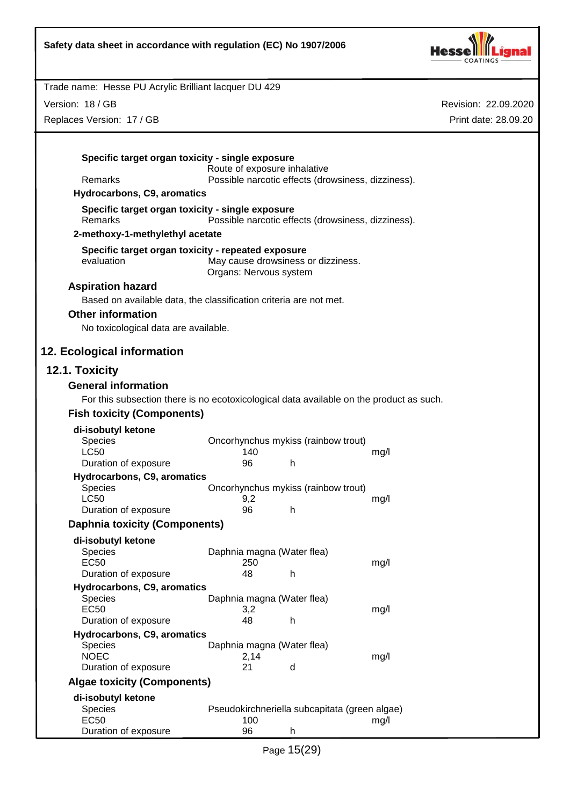

Revision: 22.09.2020

Print date: 28.09.20

Trade name: Hesse PU Acrylic Brilliant lacquer DU 429 Version: 18 / GB Replaces Version: 17 / GB **Specific target organ toxicity - single exposure** Route of exposure inhalative Remarks Possible narcotic effects (drowsiness, dizziness). **Hydrocarbons, C9, aromatics Specific target organ toxicity - single exposure** Remarks Possible narcotic effects (drowsiness, dizziness). **2-methoxy-1-methylethyl acetate Specific target organ toxicity - repeated exposure** evaluation May cause drowsiness or dizziness. Organs: Nervous system **Aspiration hazard** Based on available data, the classification criteria are not met. **Other information** No toxicological data are available. **12. Ecological information 12.1. Toxicity General information** For this subsection there is no ecotoxicological data available on the product as such. **Fish toxicity (Components) di-isobutyl ketone** Oncorhynchus mykiss (rainbow trout) LC50 140 mg/l Duration of exposure **96** h **Hydrocarbons, C9, aromatics** Species Oncorhynchus mykiss (rainbow trout) LC50 9,2 mg/l Duration of exposure 96 h **Daphnia toxicity (Components) di-isobutyl ketone** Species **Daphnia magna (Water flea)** EC50 250 mg/l Duration of exposure 48 h **Hydrocarbons, C9, aromatics** Species **Daphnia magna (Water flea)** EC50 3,2 mg/l Duration of exposure 48 h **Hydrocarbons, C9, aromatics** Species Daphnia magna (Water flea)<br>
NOEC 2.14 NOEC 2,14 mg/l Duration of exposure 21 d **Algae toxicity (Components) di-isobutyl ketone** Species Pseudokirchneriella subcapitata (green algae)<br>EC50 ma/l 100 EC50 100 mg/l Duration of exposure **96** h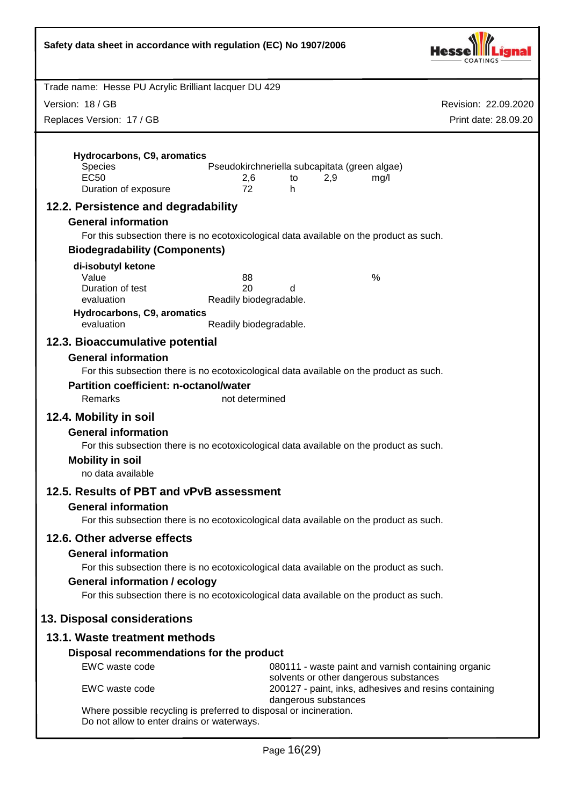| Safety data sheet in accordance with regulation (EC) No 1907/2006                                                                                         |                                                                                                                                                                                    |                      |
|-----------------------------------------------------------------------------------------------------------------------------------------------------------|------------------------------------------------------------------------------------------------------------------------------------------------------------------------------------|----------------------|
| Trade name: Hesse PU Acrylic Brilliant lacquer DU 429                                                                                                     |                                                                                                                                                                                    |                      |
| Version: 18 / GB                                                                                                                                          |                                                                                                                                                                                    | Revision: 22.09.2020 |
| Replaces Version: 17 / GB                                                                                                                                 |                                                                                                                                                                                    | Print date: 28.09.20 |
| Hydrocarbons, C9, aromatics<br><b>Species</b><br><b>EC50</b><br>Duration of exposure<br>12.2. Persistence and degradability<br><b>General information</b> | Pseudokirchneriella subcapitata (green algae)<br>2,9<br>2,6<br>mg/l<br>to<br>72<br>h.<br>For this subsection there is no ecotoxicological data available on the product as such.   |                      |
| <b>Biodegradability (Components)</b>                                                                                                                      |                                                                                                                                                                                    |                      |
| di-isobutyl ketone<br>Value<br>Duration of test<br>evaluation<br>Hydrocarbons, C9, aromatics<br>evaluation                                                | %<br>88<br>20<br>d<br>Readily biodegradable.<br>Readily biodegradable.                                                                                                             |                      |
| <b>General information</b><br><b>Partition coefficient: n-octanol/water</b><br>Remarks                                                                    | For this subsection there is no ecotoxicological data available on the product as such.<br>not determined                                                                          |                      |
| 12.4. Mobility in soil<br><b>General information</b><br><b>Mobility in soil</b><br>no data available                                                      | For this subsection there is no ecotoxicological data available on the product as such.                                                                                            |                      |
| 12.5. Results of PBT and vPvB assessment<br><b>General information</b>                                                                                    | For this subsection there is no ecotoxicological data available on the product as such.                                                                                            |                      |
| 12.6. Other adverse effects<br><b>General information</b><br><b>General information / ecology</b>                                                         | For this subsection there is no ecotoxicological data available on the product as such.<br>For this subsection there is no ecotoxicological data available on the product as such. |                      |
| 13. Disposal considerations                                                                                                                               |                                                                                                                                                                                    |                      |
| 13.1. Waste treatment methods                                                                                                                             |                                                                                                                                                                                    |                      |
| Disposal recommendations for the product                                                                                                                  |                                                                                                                                                                                    |                      |
| EWC waste code                                                                                                                                            | 080111 - waste paint and varnish containing organic                                                                                                                                |                      |
| EWC waste code                                                                                                                                            | solvents or other dangerous substances<br>200127 - paint, inks, adhesives and resins containing<br>dangerous substances                                                            |                      |
| Where possible recycling is preferred to disposal or incineration.<br>Do not allow to enter drains or waterways.                                          |                                                                                                                                                                                    |                      |

I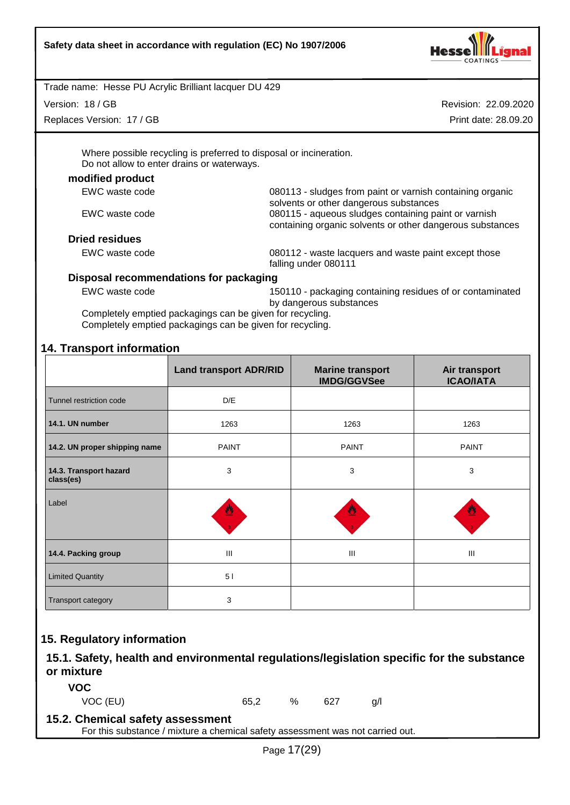

Version: 18 / GB

Replaces Version: 17 / GB

Revision: 22.09.2020 Print date: 28.09.20

Where possible recycling is preferred to disposal or incineration. Do not allow to enter drains or waterways.

#### **modified product**

| EWC waste code        | 080113 - sludges from paint or varnish containing organic |
|-----------------------|-----------------------------------------------------------|
|                       | solvents or other dangerous substances                    |
| EWC waste code        | 080115 - aqueous sludges containing paint or varnish      |
|                       | containing organic solvents or other dangerous substances |
| <b>Dried residues</b> |                                                           |
| EWC waste code        | 080112 - waste lacquers and waste paint except those      |
|                       | falling under 080111                                      |

#### **Disposal recommendations for packaging**

EWC waste code 150110 - packaging containing residues of or contaminated by dangerous substances

Completely emptied packagings can be given for recycling. Completely emptied packagings can be given for recycling.

# **14. Transport information**

|                                     | <b>Land transport ADR/RID</b> | <b>Marine transport</b><br><b>IMDG/GGVSee</b> | Air transport<br><b>ICAO/IATA</b> |
|-------------------------------------|-------------------------------|-----------------------------------------------|-----------------------------------|
| Tunnel restriction code             | D/E                           |                                               |                                   |
| 14.1. UN number                     | 1263                          | 1263                                          | 1263                              |
| 14.2. UN proper shipping name       | <b>PAINT</b>                  | <b>PAINT</b>                                  | <b>PAINT</b>                      |
| 14.3. Transport hazard<br>class(es) | 3                             | 3                                             | 3                                 |
| Label                               | 豐                             |                                               | 豐                                 |
| 14.4. Packing group                 | Ш                             | III                                           | $\mathbf{III}$                    |
| <b>Limited Quantity</b>             | 5 <sub>1</sub>                |                                               |                                   |
| Transport category                  | 3                             |                                               |                                   |

# **15. Regulatory information**

# **15.1. Safety, health and environmental regulations/legislation specific for the substance or mixture**

**VOC**

VOC (EU) 65,2 % 627 g/l

## **15.2. Chemical safety assessment**

For this substance / mixture a chemical safety assessment was not carried out.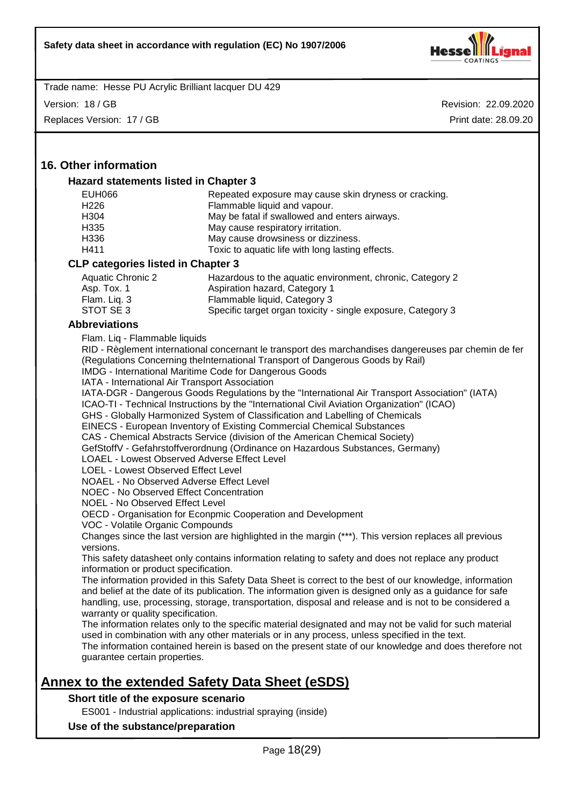

Version: 18 / GB

Replaces Version: 17 / GB

Revision: 22.09.2020 Print date: 28.09.20

# **16. Other information**

#### **Hazard statements listed in Chapter 3**

| EUH066                                    | Repeated exposure may cause skin dryness or cracking. |
|-------------------------------------------|-------------------------------------------------------|
| H <sub>226</sub>                          | Flammable liquid and vapour.                          |
| H <sub>304</sub>                          | May be fatal if swallowed and enters airways.         |
| H335                                      | May cause respiratory irritation.                     |
| H336                                      | May cause drowsiness or dizziness.                    |
| H411                                      | Toxic to aquatic life with long lasting effects.      |
| <b>CLP categories listed in Chapter 3</b> |                                                       |
|                                           |                                                       |

| Aquatic Chronic 2 | Hazardous to the aquatic environment, chronic, Category 2    |
|-------------------|--------------------------------------------------------------|
| Asp. Tox. 1       | Aspiration hazard, Category 1                                |
| Flam. Lig. 3      | Flammable liquid, Category 3                                 |
| STOT SE3          | Specific target organ toxicity - single exposure, Category 3 |

#### **Abbreviations**

Flam. Liq - Flammable liquids

| RID - Règlement international concernant le transport des marchandises dangereuses par chemin de fer |
|------------------------------------------------------------------------------------------------------|
| (Regulations Concerning the International Transport of Dangerous Goods by Rail)                      |
| <b>IMDG</b> - International Maritime Code for Dangerous Goods                                        |

IMDG - International Maritime Code for Dangerous Goods IATA - International Air Transport Association

IATA-DGR - Dangerous Goods Regulations by the "International Air Transport Association" (IATA)

ICAO-TI - Technical Instructions by the "International Civil Aviation Organization" (ICAO)

GHS - Globally Harmonized System of Classification and Labelling of Chemicals

EINECS - European Inventory of Existing Commercial Chemical Substances

CAS - Chemical Abstracts Service (division of the American Chemical Society)

GefStoffV - Gefahrstoffverordnung (Ordinance on Hazardous Substances, Germany)

LOAEL - Lowest Observed Adverse Effect Level

LOEL - Lowest Observed Effect Level

NOAEL - No Observed Adverse Effect Level

NOEC - No Observed Effect Concentration

NOEL - No Observed Effect Level

OECD - Organisation for Econpmic Cooperation and Development

VOC - Volatile Organic Compounds

Changes since the last version are highlighted in the margin (\*\*\*). This version replaces all previous versions.

This safety datasheet only contains information relating to safety and does not replace any product information or product specification.

The information provided in this Safety Data Sheet is correct to the best of our knowledge, information and belief at the date of its publication. The information given is designed only as a guidance for safe handling, use, processing, storage, transportation, disposal and release and is not to be considered a warranty or quality specification.

The information relates only to the specific material designated and may not be valid for such material used in combination with any other materials or in any process, unless specified in the text. The information contained herein is based on the present state of our knowledge and does therefore not guarantee certain properties.

# **Annex to the extended Safety Data Sheet (eSDS)**

#### **Short title of the exposure scenario**

ES001 - Industrial applications: industrial spraying (inside)

#### **Use of the substance/preparation**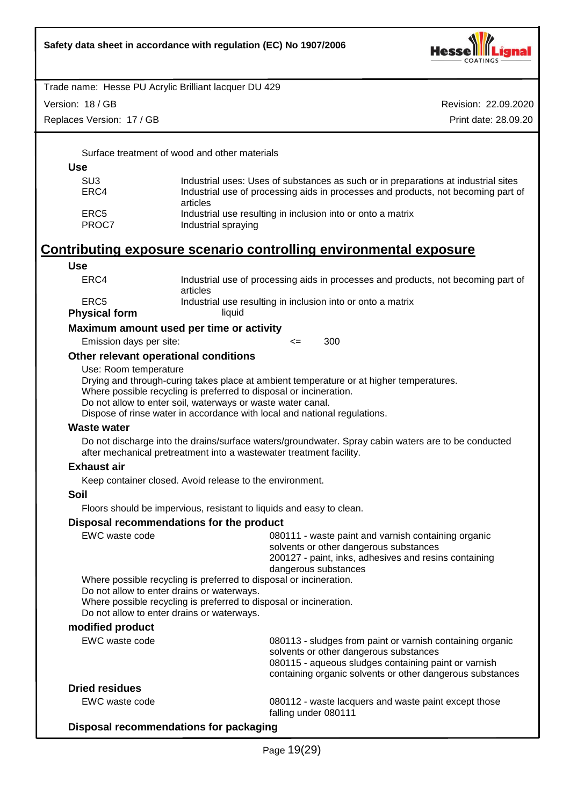

Version: 18 / GB

Replaces Version: 17 / GB

Revision: 22.09.2020 Print date: 28.09.20

Surface treatment of wood and other materials

#### **Use**

| SU3   | Industrial uses: Uses of substances as such or in preparations at industrial sites |
|-------|------------------------------------------------------------------------------------|
| ERC4  | Industrial use of processing aids in processes and products, not becoming part of  |
|       | articles                                                                           |
| ERC5  | Industrial use resulting in inclusion into or onto a matrix                        |
| PROC7 | Industrial spraying                                                                |

# **Contributing exposure scenario controlling environmental exposure**

# **Use**

| ERC4                 | Industrial use of processing aids in processes and products, not becoming part of |
|----------------------|-----------------------------------------------------------------------------------|
| ERC5                 | articles<br>Industrial use resulting in inclusion into or onto a matrix           |
| <b>Physical form</b> | liauid                                                                            |

#### **Maximum amount used per time or activity**

Emission days per site: <= 300

#### **Other relevant operational conditions**

Use: Room temperature

Drying and through-curing takes place at ambient temperature or at higher temperatures.

Where possible recycling is preferred to disposal or incineration.

Do not allow to enter soil, waterways or waste water canal.

Dispose of rinse water in accordance with local and national regulations.

#### **Waste water**

Do not discharge into the drains/surface waters/groundwater. Spray cabin waters are to be conducted after mechanical pretreatment into a wastewater treatment facility.

#### **Exhaust air**

Keep container closed. Avoid release to the environment.

#### **Soil**

Floors should be impervious, resistant to liquids and easy to clean.

#### **Disposal recommendations for the product**

| EWC waste code                                                                           | 080111 - waste paint and varnish containing organic<br>solvents or other dangerous substances<br>200127 - paint, inks, adhesives and resins containing<br>dangerous substances                                           |
|------------------------------------------------------------------------------------------|--------------------------------------------------------------------------------------------------------------------------------------------------------------------------------------------------------------------------|
|                                                                                          | Where possible recycling is preferred to disposal or incineration.                                                                                                                                                       |
| Do not allow to enter drains or waterways.<br>Do not allow to enter drains or waterways. | Where possible recycling is preferred to disposal or incineration.                                                                                                                                                       |
| modified product                                                                         |                                                                                                                                                                                                                          |
| EWC waste code                                                                           | 080113 - sludges from paint or varnish containing organic<br>solvents or other dangerous substances<br>080115 - aqueous sludges containing paint or varnish<br>containing organic solvents or other dangerous substances |

#### **Dried residues**

EWC waste code 080112 - waste lacquers and waste paint except those falling under 080111

#### **Disposal recommendations for packaging**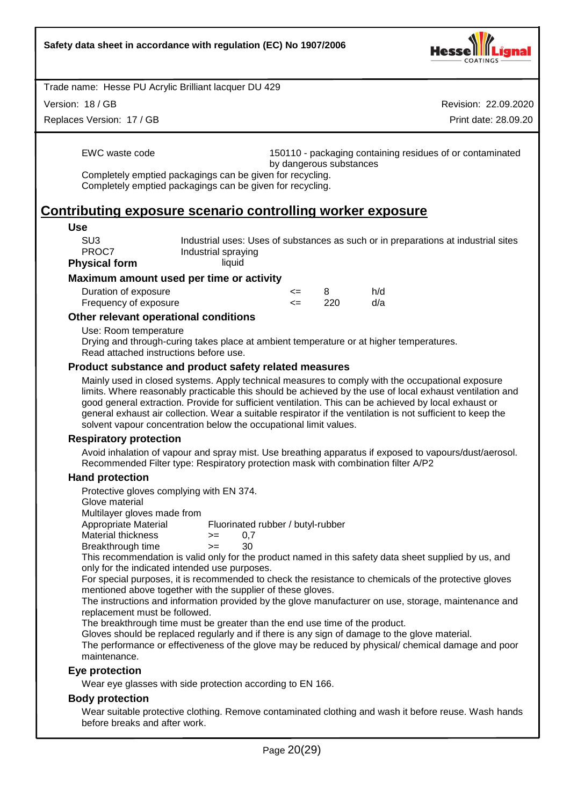

Version: 18 / GB

Replaces Version: 17 / GB

Revision: 22.09.2020 Print date: 28.09.20

EWC waste code 150110 - packaging containing residues of or contaminated by dangerous substances

Completely emptied packagings can be given for recycling. Completely emptied packagings can be given for recycling.

# **Contributing exposure scenario controlling worker exposure**

#### **Use**

SU3 Industrial uses: Uses of substances as such or in preparations at industrial sites PROC7 Industrial spraying **Physical form** liquid

# **Maximum amount used per time or activity**

| Duration of exposure  | <= |     | h/d |
|-----------------------|----|-----|-----|
| Frequency of exposure |    | 220 | d/a |

#### **Other relevant operational conditions**

Use: Room temperature

Drying and through-curing takes place at ambient temperature or at higher temperatures. Read attached instructions before use.

#### **Product substance and product safety related measures**

Mainly used in closed systems. Apply technical measures to comply with the occupational exposure limits. Where reasonably practicable this should be achieved by the use of local exhaust ventilation and good general extraction. Provide for sufficient ventilation. This can be achieved by local exhaust or general exhaust air collection. Wear a suitable respirator if the ventilation is not sufficient to keep the solvent vapour concentration below the occupational limit values.

#### **Respiratory protection**

Avoid inhalation of vapour and spray mist. Use breathing apparatus if exposed to vapours/dust/aerosol. Recommended Filter type: Respiratory protection mask with combination filter A/P2

#### **Hand protection**

Protective gloves complying with EN 374.

Glove material

Multilayer gloves made from

Appropriate Material Fluorinated rubber / butyl-rubber

Material thickness  $> = 0.7$ Breakthrough time >= 30

This recommendation is valid only for the product named in this safety data sheet supplied by us, and only for the indicated intended use purposes.

For special purposes, it is recommended to check the resistance to chemicals of the protective gloves mentioned above together with the supplier of these gloves.

The instructions and information provided by the glove manufacturer on use, storage, maintenance and replacement must be followed.

The breakthrough time must be greater than the end use time of the product.

Gloves should be replaced regularly and if there is any sign of damage to the glove material.

The performance or effectiveness of the glove may be reduced by physical/ chemical damage and poor maintenance.

#### **Eye protection**

Wear eye glasses with side protection according to EN 166.

#### **Body protection**

Wear suitable protective clothing. Remove contaminated clothing and wash it before reuse. Wash hands before breaks and after work.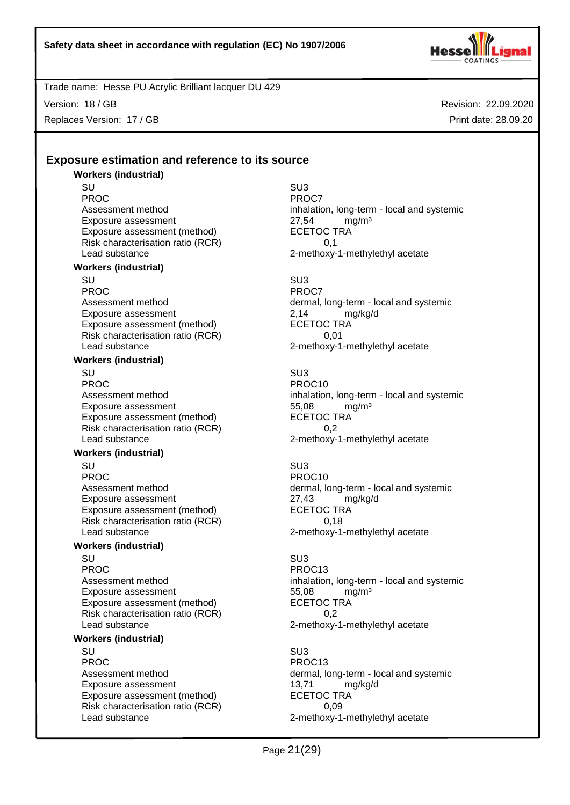

Version: 18 / GB Replaces Version: 17 / GB Revision: 22.09.2020 Print date: 28.09.20

# **Exposure estimation and reference to its source**

# **Workers (industrial)**

SU SU3 PROC<sup>P</sup> PROCT PROCT Exposure assessment <br>
Exposure assessment (method) 
<br>
ECETOC TRA Exposure assessment (method) Risk characterisation ratio (RCR) 0,1 Lead substance **2-methoxy-1-methylethyl** acetate

#### **Workers (industrial)**

SU SU3 PROC<sup>PROC</sup> PROCT Exposure assessment <br>
Exposure assessment (method) 
<br>
ECETOC TRA Exposure assessment (method) Risk characterisation ratio (RCR) 0,01 Lead substance **2-methoxy-1-methylethyl** acetate

#### **Workers (industrial)**

SU SU3 PROC PROCTES PROCTES PROCTES Exposure assessment<br>
Exposure assessment (method) ECETOC TRA Exposure assessment (method) Risk characterisation ratio (RCR) 0,2 Lead substance 2-methoxy-1-methylethyl acetate

#### **Workers (industrial)**

SU SU3 PROC PROCTES PROCTES Exposure assessment <br>
Exposure assessment (method) 
ECETOC TRA Exposure assessment (method) Risk characterisation ratio (RCR) 0,18 Lead substance **2-methoxy-1-methylethyl** acetate

#### **Workers (industrial)**

SU SU3 PROC PROC13 Exposure assessment and the three states of the states of the states of the states of the states of the SL and<br>Exposure assessment (method) exponent the SCETOC TRA Exposure assessment (method) Risk characterisation ratio (RCR) 0,2<br>Lead substance 2-methoxy-

#### **Workers (industrial)**

SU SU3 PROC PROCTER PROC13 Exposure assessment details and the transform of the transform of the transformation of the transformation of t<br>
ECETOC TRA Exposure assessment (method) Risk characterisation ratio (RCR) 0,09 Lead substance 2-methoxy-1-methylethyl acetate

Assessment method inhalation, long-term - local and systemic

Assessment method dermal, long-term - local and systemic

Assessment method inhalation, long-term - local and systemic

Assessment method dermal, long-term - local and systemic

# Assessment method inhalation, long-term - local and systemic 2-methoxy-1-methylethyl acetate

Assessment method dermal, long-term - local and systemic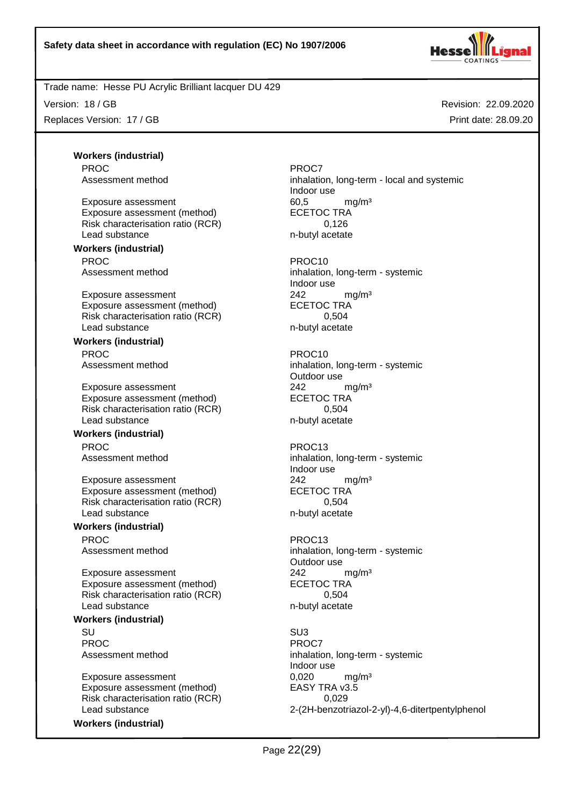

Version: 18 / GB Replaces Version: 17 / GB

Revision: 22.09.2020 Print date: 28.09.20

**Workers (industrial)** PROC<sup>PROC</sup> PROC7

Exposure assessment and the control of the formulation of the formulation of the formulation of the formulation of the formulation of the exponent of the formulation of the exponent of the exponent of the exponent of the e Exposure assessment (method) Risk characterisation ratio (RCR) 0,126 Lead substance n-butyl acetate

# **Workers (industrial)**

PROC PROCTES ENTERTAINMENT PROCTES

Exposure assessment <br>
Exposure assessment (method) 
<br>
ECETOC TRA Exposure assessment (method) Risk characterisation ratio (RCR) 0,504 Lead substance n-butyl acetate

# **Workers (industrial)**

Exposure assessment <br>
Exposure assessment (method) 
<br>
ECETOC TRA Exposure assessment (method) Risk characterisation ratio (RCR) 0,504 Lead substance n-butyl acetate

#### **Workers (industrial)** PROC PROC13

Exposure assessment 242 mg/m<sup>3</sup> Exposure assessment (method) ECETOC TRA Risk characterisation ratio (RCR) 0,504 Lead substance n-butyl acetate

#### **Workers (industrial)** PROC PROC13

Exposure assessment <br>
Exposure assessment (method) 
<br>
ECETOC TRA Exposure assessment (method) Risk characterisation ratio (RCR) 6,504 Lead substance n-butyl acetate

## **Workers (industrial)**

SU SU3 PROC<sup>PROC</sup> PROCT

Exposure assessment  $0,020$  mg/m<sup>3</sup><br>Exposure assessment (method) EASY TRA v3.5 Exposure assessment (method) Risk characterisation ratio (RCR) 0,029

**Workers (industrial)**

Assessment method inhalation, long-term - local and systemic Indoor use

Assessment method inhalation, long-term - systemic Indoor use

PROC PROCTES PROCTES PROCTES PROCTES Assessment method inhalation, long-term - systemic Outdoor use

Assessment method inhalation, long-term - systemic Indoor use

Assessment method inhalation, long-term - systemic Outdoor use

Assessment method inhalation, long-term - systemic Indoor use Lead substance 2-(2H-benzotriazol-2-yl)-4,6-ditertpentylphenol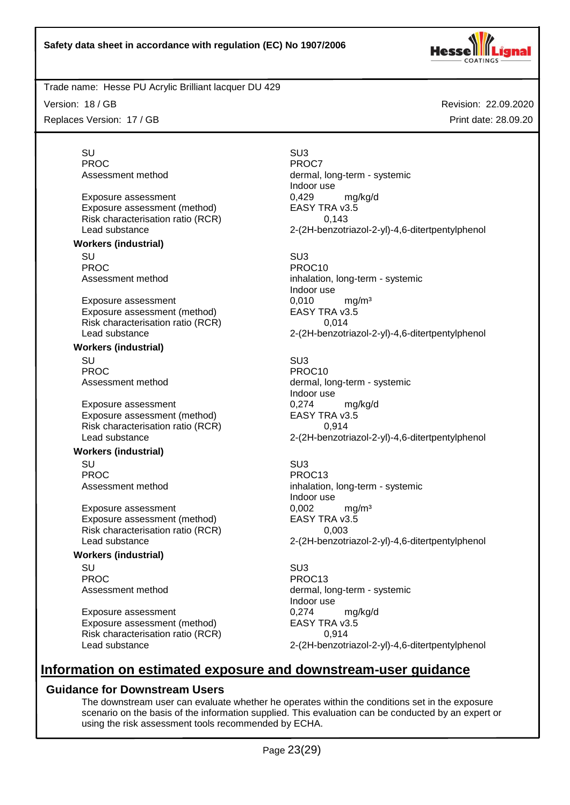

Version: 18 / GB

Replaces Version: 17 / GB

Revision: 22.09.2020 Print date: 28.09.20

SU SU3 PROC<sup>PROC</sup> PROC7

Exposure assessment<br>
Exposure assessment (method) EASY TRA v3.5 Exposure assessment (method) Risk characterisation ratio (RCR) 0,143

**Workers (industrial)**

SU SU3 PROC<br>Assessment method **PROC10**<br>inhalation

Exposure assessment and the control of the control of the main  $0.010$  main  $\text{ma}$ Exposure assessment (method) EASY TRA v3.5 Risk characterisation ratio (RCR) 0,014

#### **Workers (industrial)**

SU SU3 PROC PROC10<br>Assessment method and the extent of the process of the process of the process of the process of the process of

Exposure assessment and the control of  $\alpha$  = 0,274 mg/kg/d Exposure assessment (method) EASY TRA v3.5 Risk characterisation ratio (RCR) 0,914

#### **Workers (industrial)**

SU SU3 PROC PROC13

Exposure assessment diffusive to the U,002 mg/m<sup>3</sup><br>Exposure assessment (method) EASY TRA v3.5 Exposure assessment (method) Risk characterisation ratio (RCR) 0,003

#### **Workers (industrial)**

SU SU3 PROC PROC13

Exposure assessment diffusive to the control of the control of the control of the control of the control of the control of the control of the control of the control of the control of the control of the control of the contr Exposure assessment (method) Risk characterisation ratio (RCR) 0,914

Assessment method dermal, long-term - systemic Indoor use Lead substance 2-(2H-benzotriazol-2-yl)-4,6-ditertpentylphenol

inhalation, long-term - systemic Indoor use Lead substance 2-(2H-benzotriazol-2-yl)-4,6-ditertpentylphenol

dermal, long-term - systemic Indoor use Lead substance 2-(2H-benzotriazol-2-yl)-4,6-ditertpentylphenol

Assessment method inhalation, long-term - systemic Indoor use Lead substance 2-(2H-benzotriazol-2-yl)-4,6-ditertpentylphenol

Assessment method dermal, long-term - systemic Indoor use Lead substance 2-(2H-benzotriazol-2-yl)-4,6-ditertpentylphenol

# **Information on estimated exposure and downstream-user guidance**

## **Guidance for Downstream Users**

The downstream user can evaluate whether he operates within the conditions set in the exposure scenario on the basis of the information supplied. This evaluation can be conducted by an expert or using the risk assessment tools recommended by ECHA.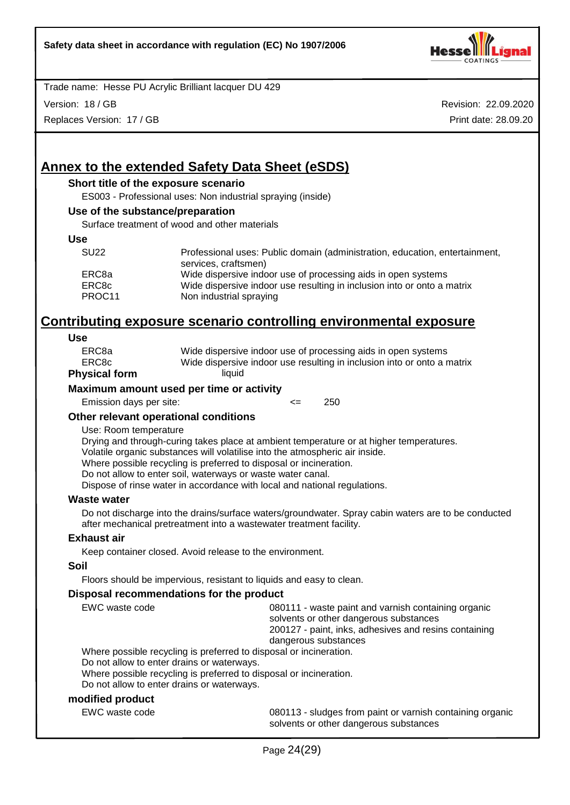

Version: 18 / GB

Replaces Version: 17 / GB

Revision: 22.09.2020 Print date: 28.09.20

# **Annex to the extended Safety Data Sheet (eSDS)**

#### **Short title of the exposure scenario**

ES003 - Professional uses: Non industrial spraying (inside)

#### **Use of the substance/preparation**

Surface treatment of wood and other materials

#### **Use**

| <b>SU22</b> | Professional uses: Public domain (administration, education, entertainment,<br>services, craftsmen) |
|-------------|-----------------------------------------------------------------------------------------------------|
| ERC8a       | Wide dispersive indoor use of processing aids in open systems                                       |
| ERC8c       | Wide dispersive indoor use resulting in inclusion into or onto a matrix                             |
| PROC11      | Non industrial spraying                                                                             |

# **Contributing exposure scenario controlling environmental exposure**

#### **Use**

| ERC8a        | Wide dispersive indoor use of processing aids in open systems           |
|--------------|-------------------------------------------------------------------------|
| ERC8c        | Wide dispersive indoor use resulting in inclusion into or onto a matrix |
| vsical form. | liauid                                                                  |

#### **Physical form**

#### **Maximum amount used per time or activity**

Emission days per site:  $\leq$  250

#### **Other relevant operational conditions**

#### Use: Room temperature

Drying and through-curing takes place at ambient temperature or at higher temperatures.

Volatile organic substances will volatilise into the atmospheric air inside.

Where possible recycling is preferred to disposal or incineration.

Do not allow to enter soil, waterways or waste water canal.

Dispose of rinse water in accordance with local and national regulations.

#### **Waste water**

Do not discharge into the drains/surface waters/groundwater. Spray cabin waters are to be conducted after mechanical pretreatment into a wastewater treatment facility.

#### **Exhaust air**

Keep container closed. Avoid release to the environment.

#### **Soil**

Floors should be impervious, resistant to liquids and easy to clean.

#### **Disposal recommendations for the product**

| EWC waste code                                                    | 080111 - waste paint and varnish containing organic<br>solvents or other dangerous substances |  |
|-------------------------------------------------------------------|-----------------------------------------------------------------------------------------------|--|
|                                                                   | 200127 - paint, inks, adhesives and resins containing                                         |  |
|                                                                   | dangerous substances                                                                          |  |
| Where possible recycling is preferred to disposal or incineration |                                                                                               |  |

possible recycling is preferred to disposal or incineration.

Do not allow to enter drains or waterways.

Where possible recycling is preferred to disposal or incineration.

Do not allow to enter drains or waterways.

#### **modified product**

EWC waste code **1801-13 - Sludges from paint or varnish containing organic** solvents or other dangerous substances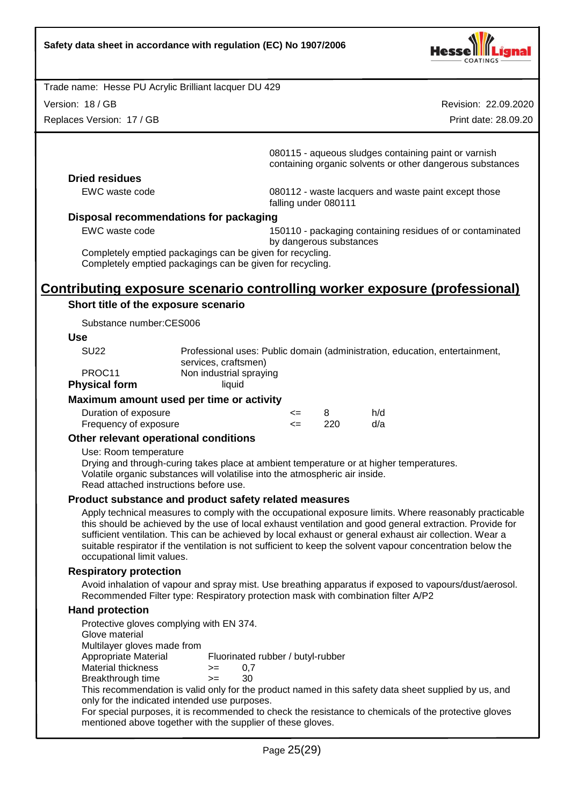

Version: 18 / GB

Replaces Version: 17 / GB

Revision: 22.09.2020

Print date: 28.09.20

080115 - aqueous sludges containing paint or varnish containing organic solvents or other dangerous substances

#### **Dried residues**

EWC waste code 080112 - waste lacquers and waste paint except those falling under 080111

#### **Disposal recommendations for packaging**

EWC waste code 150110 - packaging containing residues of or contaminated

by dangerous substances Completely emptied packagings can be given for recycling.

Completely emptied packagings can be given for recycling.

# **Contributing exposure scenario controlling worker exposure (professional)**

#### **Short title of the exposure scenario**

Substance number:CES006

#### **Use**

| PROC <sub>11</sub>   | Non industrial spraying |
|----------------------|-------------------------|
| <b>Physical form</b> | liauid                  |
|                      |                         |

#### **Maximum amount used per time or activity**

| Duration of exposure  | <= |      | h/d |
|-----------------------|----|------|-----|
| Frequency of exposure |    | -220 | d/a |

#### **Other relevant operational conditions**

Use: Room temperature

Drying and through-curing takes place at ambient temperature or at higher temperatures. Volatile organic substances will volatilise into the atmospheric air inside. Read attached instructions before use.

#### **Product substance and product safety related measures**

Apply technical measures to comply with the occupational exposure limits. Where reasonably practicable this should be achieved by the use of local exhaust ventilation and good general extraction. Provide for sufficient ventilation. This can be achieved by local exhaust or general exhaust air collection. Wear a suitable respirator if the ventilation is not sufficient to keep the solvent vapour concentration below the occupational limit values.

#### **Respiratory protection**

Avoid inhalation of vapour and spray mist. Use breathing apparatus if exposed to vapours/dust/aerosol. Recommended Filter type: Respiratory protection mask with combination filter A/P2

#### **Hand protection**

Protective gloves complying with EN 374. Glove material Multilayer gloves made from Appropriate Material Fluorinated rubber / butyl-rubber Material thickness  $> = 0.7$ Breakthrough time >= 30 This recommendation is valid only for the product named in this safety data sheet supplied by us, and only for the indicated intended use purposes. For special purposes, it is recommended to check the resistance to chemicals of the protective gloves mentioned above together with the supplier of these gloves.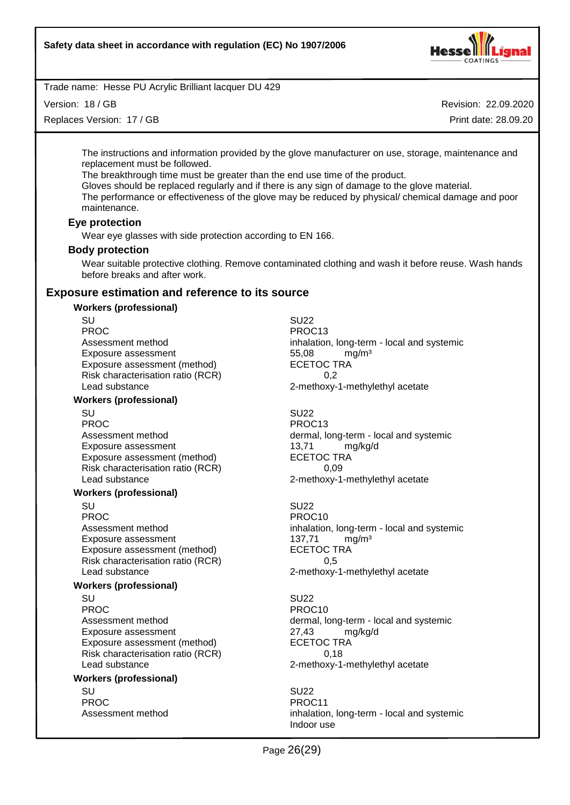

Version: 18 / GB

Replaces Version: 17 / GB

Revision: 22.09.2020

Print date: 28.09.20

The instructions and information provided by the glove manufacturer on use, storage, maintenance and replacement must be followed.

The breakthrough time must be greater than the end use time of the product.

Gloves should be replaced regularly and if there is any sign of damage to the glove material.

The performance or effectiveness of the glove may be reduced by physical/ chemical damage and poor maintenance.

#### **Eye protection**

Wear eye glasses with side protection according to EN 166.

#### **Body protection**

Wear suitable protective clothing. Remove contaminated clothing and wash it before reuse. Wash hands before breaks and after work.

#### **Exposure estimation and reference to its source**

#### **Workers (professional)**

SU SU22 PROC<br>Assessment method<br>Assessment method<br>Assessment method Exposure assessment and the three states of the S5,08 mg/m<sup>3</sup><br>Exposure assessment (method) exposure the SCETOC TRA Exposure assessment (method) Risk characterisation ratio (RCR) 6.2 Lead substance **2-methoxy-1-methylethyl** acetate

#### **Workers (professional)**

SU SU22 PROC PROC13 Exposure assessment and the top of the 13,71 mg/kg/d<br>
Exposure assessment (method) ECETOC TRA Exposure assessment (method) Risk characterisation ratio (RCR) 0,09 Lead substance 2-methoxy-1-methylethyl acetate

#### **Workers (professional)**

SU SU22 PROC PROCTER PROCTER PROCTER PROCTER PROCTER PROCTER PROCTER PROCTER PROCTER PROCTER PROCTER PROCTER PROCTER P Exposure assessment 137,71 mg/m<sup>3</sup> Exposure assessment (method) ECETOC TRA Risk characterisation ratio (RCR) 6.5 Lead substance **2-methoxy-1-methylethyl** acetate

#### **Workers (professional)**

SU SU22 PROC PROC10 Exposure assessment <br>
Exposure assessment (method) 
ECETOC TRA Exposure assessment (method) Risk characterisation ratio (RCR) 0,18 Lead substance **2-methoxy-1-methylethyl** acetate

#### **Workers (professional)**

SU SU22 PROC PROC11

inhalation, long-term - local and systemic

Assessment method dermal, long-term - local and systemic

Assessment method inhalation, long-term - local and systemic

Assessment method dermal, long-term - local and systemic

Assessment method inhalation, long-term - local and systemic Indoor use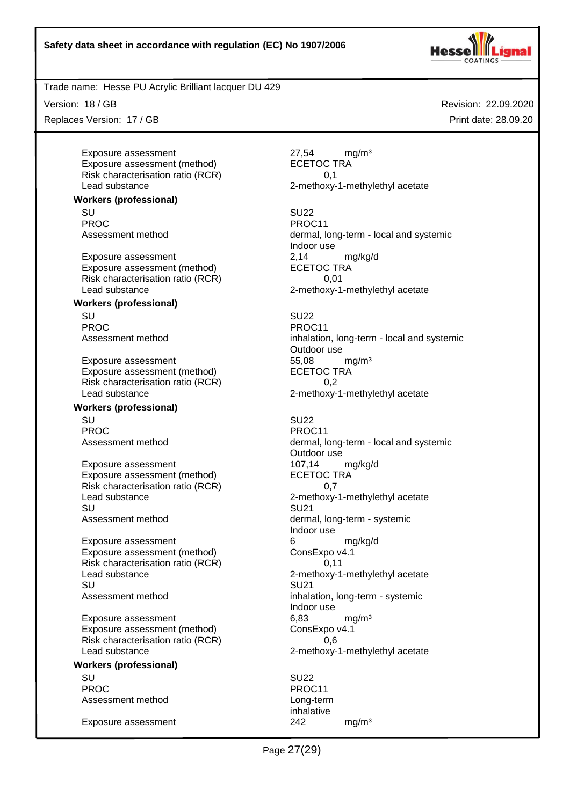

Version: 18 / GB

Replaces Version: 17 / GB

Exposure assessment and the contract assessment and the 27.54 mg/m<sup>3</sup> Exposure assessment (method) ECETOC TRA Risk characterisation ratio (RCR) 0,1 Lead substance 2-methoxy-1-methylethyl acetate

**Workers (professional)**

SU SU22 PROC PROCTER PROC11

Exposure assessment 2,14 mg/kg/d Exposure assessment (method) Risk characterisation ratio (RCR) 0.01 Lead substance example 2-methoxy-1-methylethyl acetate

#### **Workers (professional)**

SU SU22 PROC PROCHES PROCHES PROCHES PROCHES

Exposure assessment and the theory of the state of the spoke state of the spoke state of the spoke state of the spoke state of the spoke state of the spoke state of the spoke state of the spoke state of the spoke state sta Exposure assessment (method) Risk characterisation ratio (RCR) 6.2 Lead substance 2-methoxy-1-methylethyl acetate

# **Workers (professional)**

SU SU22 PROC PROCTER PROCTER PROCTER PROCTER PROCTER PROCTER PROCTER PROCTER PROCTER PROCTER PROCTER PROCTER PROCTER PROCTER PROCTER PROCTER PROCTER PROCTER PROCTER PROCTER PROCTER PROCTER PROCTER PROCTER PROCTER PROCTER PROCTER P

Exposure assessment<br>
Exposure assessment (method) exposure assessment (method) exposure assessment (method) Exposure assessment (method) Risk characterisation ratio (RCR)  $0.7$ <br>Lead substance 2-methoxy-SU SU21 Assessment method dermal, long-term - systemic

Exposure assessment 6 and 6 mg/kg/d Exposure assessment (method) ConsExpo v4.1 Risk characterisation ratio (RCR) 0,11 Lead substance **2-methoxy-1-methylethyl** acetate SU SU21 Assessment method inhalation, long-term - systemic

Exposure assessment 6,83 mg/m<sup>3</sup> Exposure assessment (method) ConsExpo v4.1 Risk characterisation ratio (RCR) 0,6 Lead substance **2-methoxy-1-methylethyl** acetate

#### **Workers (professional)**

SU SU22 PROC PROCTER PROCTER PROCTER PROCTER PROCTER PROCTER PROCTER PROCTER PROCTER PROCTER PROCTER PROCTER PROCTER PROCTER PROCTER PROCTER PROCTER PROCTER PROCTER PROCTER PROCTER PROCTER PROCTER PROCTER PROCTER PROCTER PROCTER P Assessment method Long-term

Exposure assessment 242 mg/m<sup>3</sup>

Revision: 22.09.2020 Print date: 28.09.20

Assessment method dermal, long-term - local and systemic Indoor use

Assessment method inhalation, long-term - local and systemic Outdoor use

Assessment method dermal, long-term - local and systemic Outdoor use 2-methoxy-1-methylethyl acetate Indoor use Indoor use

inhalative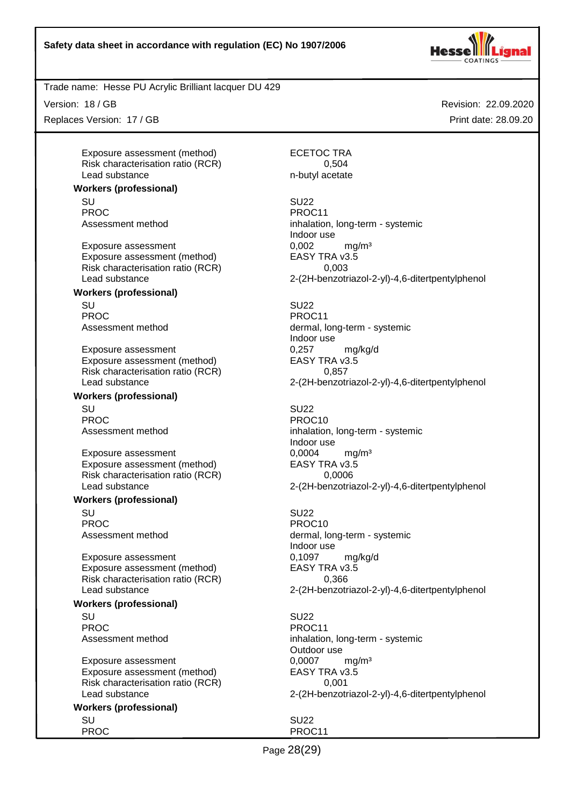

Trade name: Hesse PU Acrylic Brilliant lacquer DU 429

Version: 18 / GB

Replaces Version: 17 / GB

Exposure assessment (method) ECETOC TRA Risk characterisation ratio (RCR) 0,504 Lead substance n-butyl acetate

#### **Workers (professional)**

SU SU22 PROC<br>Assessment method example and provide the process inhalation

Exposure assessment <br>
Exposure assessment (method) 
EASY TRA v3.5 Exposure assessment (method) Risk characterisation ratio (RCR) 0,003

#### **Workers (professional)** SU SU22

PROC PROCTER PROCTER PROCTER PROCTER PROCTER PROCTER PROCTER PROCTER PROCTER PROCTER PROCTER PROCTER PROCTER PROCTER PROCTER PROCTER PROCTER PROCTER PROCTER PROCTER PROCTER PROCTER PROCTER PROCTER PROCTER PROCTER PROCTER P

Exposure assessment and the control of the control of the match may have made of the match of the match of the match of the match of the match of the match of the match of the match of the match of the match of the match o Exposure assessment (method) EASY TRA v3.5 Risk characterisation ratio (RCR) 0,857

#### **Workers (professional)**

SU SU22 PROC PROCTER PROCTER PROCTER PROCTER PROCTER PROCTER PROCTER PROCTER PROCTER PROCTER PROCTER PROCTER PROCTER P

Exposure assessment 6,0004 mg/m<sup>3</sup> Exposure assessment (method) EASY TRA v3.5 Risk characterisation ratio (RCR) 0,0006 Lead substance 2-(2H-benzotriazol-2-yl)-4,6-ditertpentylphenol

#### **Workers (professional)**

SU SU22 PROC PROCTER PROCTER PROCTER PROCTER PROCTER PROCTER PROCTER PROCTER PROCTER PROCTER PROCTER PROCTER PROCTER PROCTER PROCTER PROCTER PROCTER PROCTER PROCTER PROCTER PROCTER PROCTER PROCTER PROCTER PROCTER PROCTER PROCTER P

Exposure assessment 6,1097 mg/kg/d Exposure assessment (method) EASY TRA v3.5 Risk characterisation ratio (RCR) 0,366

#### **Workers (professional)**

SU SU22 PROC PROCTER PROCTER PROCTER PROCTER PROCTER PROCTER PROCTER PROCTER PROCTER PROCTER PROCTER PROCTER PROCTER PROCTER PROCTER PROCTER PROCTER PROCTER PROCTER PROCTER PROCTER PROCTER PROCTER PROCTER PROCTER PROCTER PROCTER P

Exposure assessment 0,0007 mg/m<sup>3</sup> Exposure assessment (method) EASY TRA v3.5 Risk characterisation ratio (RCR) 0,001

#### **Workers (professional)** SU SU22

PROC PROCTER PROCTER PROCTER PROCTER PROCTER PROCTER PROCTER PROCTER PROCTER PROCTER PROCTER PROCTER PROCTER PROCTER PROCTER PROCTER PROCTER PROCTER PROCTER PROCTER PROCTER PROCTER PROCTER PROCTER PROCTER PROCTER PROCTER P

Revision: 22.09.2020 Print date: 28.09.20

inhalation, long-term - systemic Indoor use Lead substance 2-(2H-benzotriazol-2-yl)-4,6-ditertpentylphenol

Assessment method dermal, long-term - systemic Indoor use Lead substance 2-(2H-benzotriazol-2-yl)-4,6-ditertpentylphenol

Assessment method inhalation, long-term - systemic Indoor use

Assessment method dermal, long-term - systemic Indoor use Lead substance 2-(2H-benzotriazol-2-yl)-4,6-ditertpentylphenol

Assessment method inhalation, long-term - systemic Outdoor use Lead substance 2-(2H-benzotriazol-2-yl)-4,6-ditertpentylphenol

Page 28(29)